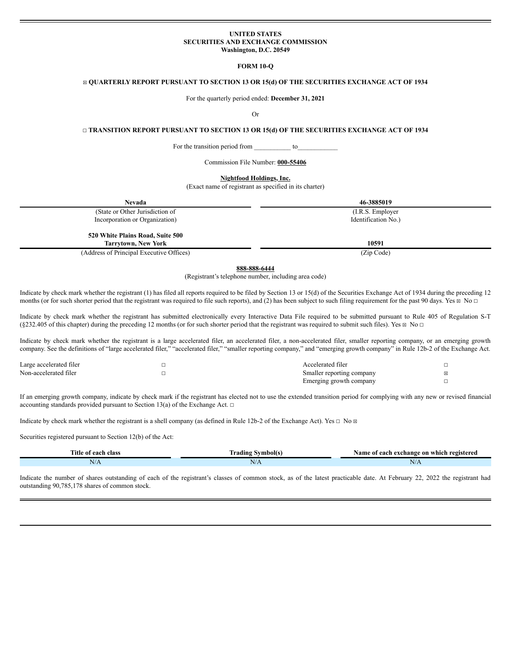## **UNITED STATES SECURITIES AND EXCHANGE COMMISSION Washington, D.C. 20549**

#### **FORM 10-Q**

# ☒ **QUARTERLY REPORT PURSUANT TO SECTION 13 OR 15(d) OF THE SECURITIES EXCHANGE ACT OF 1934**

For the quarterly period ended: **December 31, 2021**

#### Or

# ☐ **TRANSITION REPORT PURSUANT TO SECTION 13 OR 15(d) OF THE SECURITIES EXCHANGE ACT OF 1934**

For the transition period from \_\_\_\_\_\_\_\_\_\_\_ to\_\_\_\_\_\_\_\_\_\_\_\_

Commission File Number: **000-55406**

**Nightfood Holdings, Inc.**

(Exact name of registrant as specified in its charter)

| <b>Nevada</b>                                                  | 46-3885019          |
|----------------------------------------------------------------|---------------------|
| (State or Other Jurisdiction of                                | (I.R.S. Employer)   |
| Incorporation or Organization)                                 | Identification No.) |
| 520 White Plains Road, Suite 500<br><b>Tarrytown, New York</b> | 10591               |
|                                                                |                     |
| (Address of Principal Executive Offices)                       | (Zip Code)          |

**888-888-6444**

(Registrant's telephone number, including area code)

Indicate by check mark whether the registrant (1) has filed all reports required to be filed by Section 13 or 15(d) of the Securities Exchange Act of 1934 during the preceding 12 months (or for such shorter period that the registrant was required to file such reports), and (2) has been subject to such filing requirement for the past 90 days. Yes ⊠ No □

Indicate by check mark whether the registrant has submitted electronically every Interactive Data File required to be submitted pursuant to Rule 405 of Regulation S-T  $(\$232.405$  of this chapter) during the preceding 12 months (or for such shorter period that the registrant was required to submit such files). Yes  $\boxtimes$  No  $\Box$ 

Indicate by check mark whether the registrant is a large accelerated filer, an accelerated filer, a non-accelerated filer, smaller reporting company, or an emerging growth company. See the definitions of "large accelerated filer," "accelerated filer," "smaller reporting company," and "emerging growth company" in Rule 12b-2 of the Exchange Act.

| Large accelerated filer | Accelerated filer         |  |
|-------------------------|---------------------------|--|
| Non-accelerated filer   | Smaller reporting company |  |
|                         | Emerging growth company   |  |

If an emerging growth company, indicate by check mark if the registrant has elected not to use the extended transition period for complying with any new or revised financial accounting standards provided pursuant to Section 13(a) of the Exchange Act.  $\Box$ 

Indicate by check mark whether the registrant is a shell company (as defined in Rule 12b-2 of the Exchange Act). Yes  $\Box$  No  $\Box$ 

Securities registered pursuant to Section 12(b) of the Act:

| L'itle of<br>each class | frading<br>Symbol(s. | Name of<br>i exchange on which registered<br>each |  |  |  |  |  |  |
|-------------------------|----------------------|---------------------------------------------------|--|--|--|--|--|--|
| N/A                     | N/A                  | N/A                                               |  |  |  |  |  |  |

Indicate the number of shares outstanding of each of the registrant's classes of common stock, as of the latest practicable date. At February 22, 2022 the registrant had outstanding 90,785,178 shares of common stock.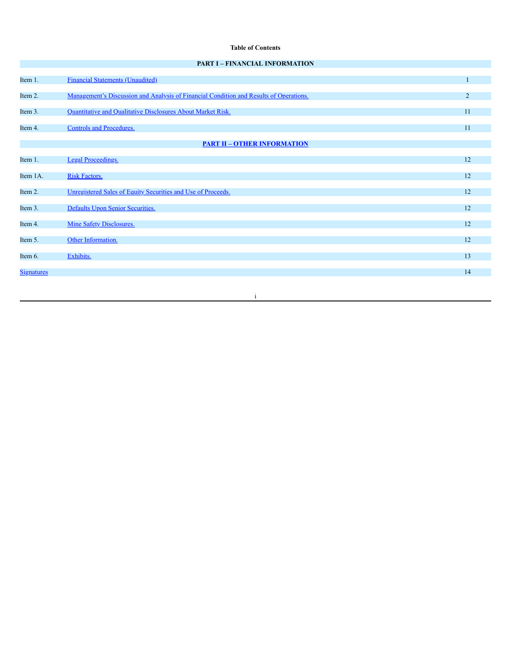# **Table of Contents**

| <b>PART I – FINANCIAL INFORMATION</b> |  |
|---------------------------------------|--|
|---------------------------------------|--|

| Item 1.           | <b>Financial Statements (Unaudited)</b>                                                |                |
|-------------------|----------------------------------------------------------------------------------------|----------------|
|                   |                                                                                        |                |
| Item 2.           | Management's Discussion and Analysis of Financial Condition and Results of Operations. | $\overline{2}$ |
| Item 3.           | Quantitative and Qualitative Disclosures About Market Risk.                            | 11             |
| Item 4.           | <b>Controls and Procedures.</b>                                                        | 11             |
|                   | <b>PART II - OTHER INFORMATION</b>                                                     |                |
| Item 1.           | <b>Legal Proceedings.</b>                                                              | 12             |
|                   |                                                                                        |                |
| Item 1A.          | Risk Factors.                                                                          | 12             |
| Item 2.           | Unregistered Sales of Equity Securities and Use of Proceeds.                           | 12             |
| Item 3.           | Defaults Upon Senior Securities.                                                       | 12             |
| Item 4.           | <b>Mine Safety Disclosures.</b>                                                        | 12             |
| Item 5.           | Other Information.                                                                     | 12             |
| Item 6.           | Exhibits.                                                                              | 13             |
| <b>Signatures</b> |                                                                                        | 14             |
|                   |                                                                                        |                |

i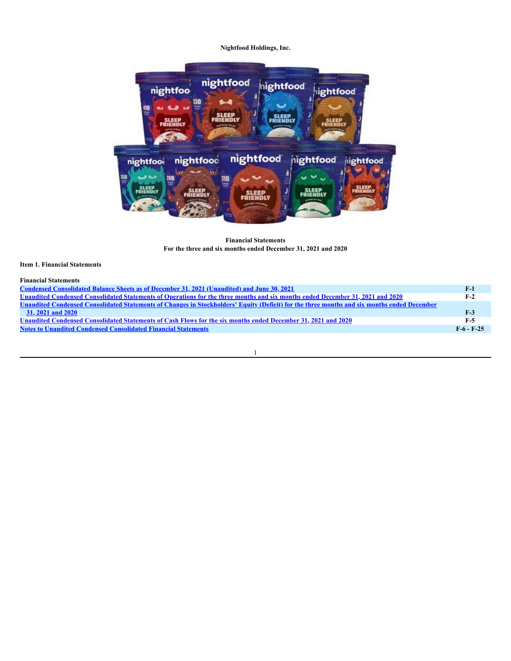

**Financial Statements For the three and six months ended December 31, 2021 and 2020**

# <span id="page-2-0"></span>**Item 1. Financial Statements**

| <b>Financial Statements</b> |  |
|-----------------------------|--|
|                             |  |

| Condensed Consolidated Balance Sheets as of December 31, 2021 (Unaudited) and June 30, 2021                                                 | $F-1$        |
|---------------------------------------------------------------------------------------------------------------------------------------------|--------------|
| Unaudited Condensed Consolidated Statements of Operations for the three months and six months ended December 31, 2021 and 2020              | $F-2$        |
| Unaudited Condensed Consolidated Statements of Changes in Stockholders' Equity (Deficit) for the three months and six months ended December |              |
| 31, 2021 and 2020                                                                                                                           | $F-3$        |
| Unaudited Condensed Consolidated Statements of Cash Flows for the six months ended December 31, 2021 and 2020                               | F-5          |
| <b>Notes to Unaudited Condensed Consolidated Financial Statements</b>                                                                       | $F-6 - F-25$ |
|                                                                                                                                             |              |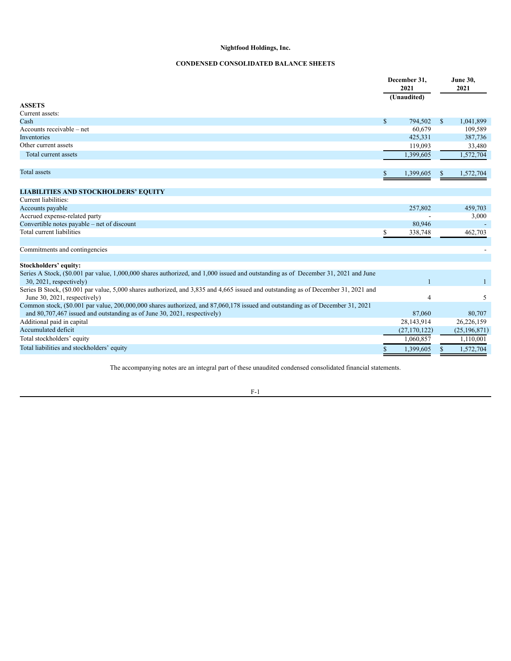# **CONDENSED CONSOLIDATED BALANCE SHEETS**

<span id="page-3-0"></span>

|                                                                                                                                                                                                            |    | December 31,<br>2021<br>(Unaudited) |               | <b>June 30,</b><br>2021 |  |
|------------------------------------------------------------------------------------------------------------------------------------------------------------------------------------------------------------|----|-------------------------------------|---------------|-------------------------|--|
| <b>ASSETS</b>                                                                                                                                                                                              |    |                                     |               |                         |  |
| Current assets:                                                                                                                                                                                            |    |                                     |               |                         |  |
| Cash                                                                                                                                                                                                       | \$ | 794,502                             | <sup>\$</sup> | 1,041,899               |  |
| Accounts receivable – net                                                                                                                                                                                  |    | 60,679                              |               | 109,589                 |  |
| Inventories                                                                                                                                                                                                |    | 425,331                             |               | 387,736                 |  |
| Other current assets                                                                                                                                                                                       |    | 119,093                             |               | 33,480                  |  |
| Total current assets                                                                                                                                                                                       |    | 1,399,605                           |               | 1,572,704               |  |
| <b>Total</b> assets                                                                                                                                                                                        | S. | 1,399,605                           | S             | 1,572,704               |  |
| <b>LIABILITIES AND STOCKHOLDERS' EQUITY</b>                                                                                                                                                                |    |                                     |               |                         |  |
| Current liabilities:                                                                                                                                                                                       |    |                                     |               |                         |  |
| Accounts payable                                                                                                                                                                                           |    | 257,802                             |               | 459,703                 |  |
| Accrued expense-related party                                                                                                                                                                              |    |                                     |               | 3,000                   |  |
| Convertible notes payable - net of discount                                                                                                                                                                |    | 80,946                              |               |                         |  |
| Total current liabilities                                                                                                                                                                                  | \$ | 338,748                             |               | 462,703                 |  |
| Commitments and contingencies                                                                                                                                                                              |    |                                     |               |                         |  |
| Stockholders' equity:                                                                                                                                                                                      |    |                                     |               |                         |  |
| Series A Stock, (\$0.001 par value, 1,000,000 shares authorized, and 1,000 issued and outstanding as of December 31, 2021 and June<br>$30, 2021$ , respectively)                                           |    |                                     |               |                         |  |
| Series B Stock, (\$0.001 par value, 5,000 shares authorized, and 3,835 and 4,665 issued and outstanding as of December 31, 2021 and<br>June 30, 2021, respectively)                                        |    | 4                                   |               | 5                       |  |
| Common stock, (\$0.001 par value, 200,000,000 shares authorized, and 87,060,178 issued and outstanding as of December 31, 2021<br>and 80,707,467 issued and outstanding as of June 30, 2021, respectively) |    | 87,060                              |               | 80,707                  |  |
| Additional paid in capital                                                                                                                                                                                 |    | 28,143,914                          |               | 26,226,159              |  |
| Accumulated deficit                                                                                                                                                                                        |    | (27, 170, 122)                      |               | (25, 196, 871)          |  |
| Total stockholders' equity                                                                                                                                                                                 |    | 1,060,857                           |               | 1,110,001               |  |
| Total liabilities and stockholders' equity                                                                                                                                                                 |    | 1,399,605                           |               | 1,572,704               |  |

The accompanying notes are an integral part of these unaudited condensed consolidated financial statements.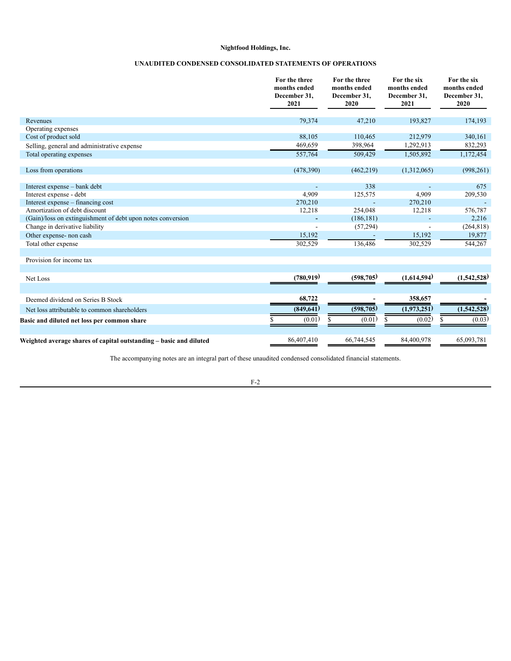# **UNAUDITED CONDENSED CONSOLIDATED STATEMENTS OF OPERATIONS**

<span id="page-4-0"></span>

|                                                                    | For the three<br>months ended<br>December 31,<br>2021 | For the three<br>months ended<br>December 31,<br>2020 | For the six<br>months ended<br>December 31,<br>2021 | For the six<br>months ended<br>December 31,<br>2020 |
|--------------------------------------------------------------------|-------------------------------------------------------|-------------------------------------------------------|-----------------------------------------------------|-----------------------------------------------------|
| Revenues                                                           | 79,374                                                | 47,210                                                | 193,827                                             | 174,193                                             |
| Operating expenses                                                 |                                                       |                                                       |                                                     |                                                     |
| Cost of product sold                                               | 88,105                                                | 110,465                                               | 212,979                                             | 340,161                                             |
| Selling, general and administrative expense                        | 469,659                                               | 398,964                                               | 1,292,913                                           | 832,293                                             |
| Total operating expenses                                           | 557,764                                               | 509,429                                               | 1,505,892                                           | 1,172,454                                           |
|                                                                    |                                                       |                                                       |                                                     |                                                     |
| Loss from operations                                               | (478,390)                                             | (462, 219)                                            | (1,312,065)                                         | (998, 261)                                          |
|                                                                    |                                                       |                                                       |                                                     |                                                     |
| Interest expense - bank debt                                       |                                                       | 338                                                   |                                                     | 675                                                 |
| Interest expense - debt                                            | 4,909                                                 | 125,575                                               | 4,909                                               | 209,530                                             |
| Interest expense – financing cost<br>Amortization of debt discount | 270,210                                               |                                                       | 270,210                                             |                                                     |
| (Gain)/loss on extinguishment of debt upon notes conversion        | 12,218                                                | 254,048<br>(186, 181)                                 | 12,218                                              | 576,787<br>2,216                                    |
| Change in derivative liability                                     |                                                       | (57, 294)                                             |                                                     | (264, 818)                                          |
| Other expense- non cash                                            | 15,192                                                |                                                       | 15,192                                              | 19,877                                              |
| Total other expense                                                | 302,529                                               | 136,486                                               | 302,529                                             | 544,267                                             |
|                                                                    |                                                       |                                                       |                                                     |                                                     |
| Provision for income tax                                           |                                                       |                                                       |                                                     |                                                     |
|                                                                    |                                                       |                                                       |                                                     |                                                     |
| Net Loss                                                           | (780, 919)                                            | (598, 705)                                            | (1,614,594)                                         | (1,542,528)                                         |
|                                                                    |                                                       |                                                       |                                                     |                                                     |
| Deemed dividend on Series B Stock                                  | 68,722                                                |                                                       | 358,657                                             |                                                     |
|                                                                    |                                                       |                                                       |                                                     |                                                     |
| Net loss attributable to common shareholders                       | (849, 641)                                            | (598, 705)                                            | (1,973,251)                                         | (1,542,528)                                         |
| Basic and diluted net loss per common share                        | (0.01)                                                | (0.01)                                                | (0.02)                                              | (0.03)                                              |
|                                                                    |                                                       |                                                       |                                                     |                                                     |
| Weighted average shares of capital outstanding – basic and diluted | 86,407,410                                            | 66,744,545                                            | 84,400,978                                          | 65,093,781                                          |

The accompanying notes are an integral part of these unaudited condensed consolidated financial statements.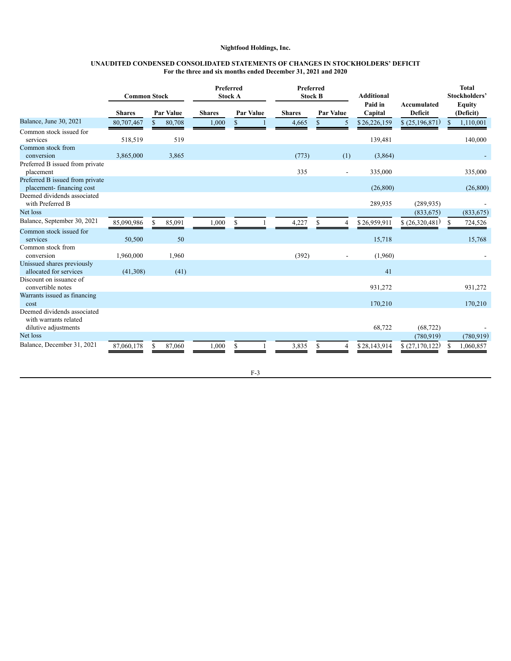#### **UNAUDITED CONDENSED CONSOLIDATED STATEMENTS OF CHANGES IN STOCKHOLDERS' DEFICIT For the three and six months ended December 31, 2021 and 2020**

<span id="page-5-0"></span>

|                                                                                            | <b>Common Stock</b> |           |        |               | Preferred<br><b>Stock A</b> |  |               | Preferred<br><b>Stock B</b> |                  | <b>Additional</b>  |                               | <b>Total</b><br>Stockholders' |                            |  |
|--------------------------------------------------------------------------------------------|---------------------|-----------|--------|---------------|-----------------------------|--|---------------|-----------------------------|------------------|--------------------|-------------------------------|-------------------------------|----------------------------|--|
|                                                                                            | <b>Shares</b>       | Par Value |        | <b>Shares</b> | <b>Par Value</b>            |  | <b>Shares</b> |                             | <b>Par Value</b> | Paid in<br>Capital | Accumulated<br><b>Deficit</b> |                               | <b>Equity</b><br>(Deficit) |  |
| Balance, June 30, 2021                                                                     | 80,707,467          | S         | 80,708 | 1,000         | S                           |  | 4,665         | S.                          | 5                | \$26,226,159       | \$(25,196,871)                |                               | 1,110,001                  |  |
| Common stock issued for<br>services                                                        | 518,519             |           | 519    |               |                             |  |               |                             |                  | 139,481            |                               |                               | 140,000                    |  |
| Common stock from<br>conversion                                                            | 3,865,000           |           | 3,865  |               |                             |  | (773)         |                             | (1)              | (3,864)            |                               |                               |                            |  |
| Preferred B issued from private<br>placement                                               |                     |           |        |               |                             |  | 335           |                             | $\sim$           | 335,000            |                               |                               | 335,000                    |  |
| Preferred B issued from private<br>placement-financing cost<br>Deemed dividends associated |                     |           |        |               |                             |  |               |                             |                  | (26, 800)          |                               |                               | (26, 800)                  |  |
| with Preferred B                                                                           |                     |           |        |               |                             |  |               |                             |                  | 289,935            | (289, 935)                    |                               |                            |  |
| Net loss                                                                                   |                     |           |        |               |                             |  |               |                             |                  |                    | (833, 675)                    |                               | (833, 675)                 |  |
| Balance, September 30, 2021                                                                | 85,090,986          | -S        | 85,091 | 1,000         | S                           |  | 4,227         | \$.                         | $\overline{4}$   | \$26,959,911       | \$ (26,320,481)               | S.                            | 724,526                    |  |
| Common stock issued for<br>services                                                        | 50,500              |           | 50     |               |                             |  |               |                             |                  | 15,718             |                               |                               | 15,768                     |  |
| Common stock from<br>conversion                                                            | 1,960,000           |           | 1,960  |               |                             |  | (392)         |                             |                  | (1,960)            |                               |                               |                            |  |
| Unissued shares previously<br>allocated for services                                       | (41,308)            |           | (41)   |               |                             |  |               |                             |                  | 41                 |                               |                               |                            |  |
| Discount on issuance of<br>convertible notes                                               |                     |           |        |               |                             |  |               |                             |                  | 931,272            |                               |                               | 931,272                    |  |
| Warrants issued as financing<br>cost                                                       |                     |           |        |               |                             |  |               |                             |                  | 170,210            |                               |                               | 170,210                    |  |
| Deemed dividends associated<br>with warrants related<br>dilutive adjustments               |                     |           |        |               |                             |  |               |                             |                  | 68,722             | (68, 722)                     |                               |                            |  |
| Net loss                                                                                   |                     |           |        |               |                             |  |               |                             |                  |                    | (780, 919)                    |                               | (780, 919)                 |  |
| Balance, December 31, 2021                                                                 | 87,060,178          | S.        | 87,060 | 1,000         | S                           |  | 3,835         |                             | 4                | \$28,143,914       | \$(27,170,122)                | S                             | 1,060,857                  |  |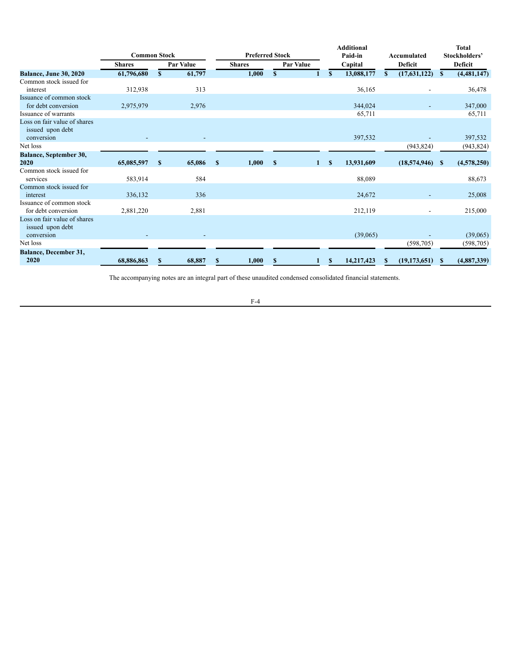|                                                                | <b>Common Stock</b> |              |                  |              | <b>Preferred Stock</b> |              |  |   | <b>Additional</b><br>Paid-in | Accumulated |    |                          | <b>Total</b><br>Stockholders' |             |         |  |  |         |
|----------------------------------------------------------------|---------------------|--------------|------------------|--------------|------------------------|--------------|--|---|------------------------------|-------------|----|--------------------------|-------------------------------|-------------|---------|--|--|---------|
|                                                                | <b>Shares</b>       |              | <b>Par Value</b> |              | <b>Shares</b>          |              |  |   | <b>Par Value</b><br>Capital  |             |    |                          |                               |             | Deficit |  |  | Deficit |
| <b>Balance, June 30, 2020</b>                                  | 61,796,680          | S            | 61,797           |              | 1,000                  | S            |  |   | S.                           | 13,088,177  | S. | (17,631,122)             | $\mathbf{s}$                  | (4,481,147) |         |  |  |         |
| Common stock issued for<br>interest                            | 312,938             |              | 313              |              |                        |              |  |   |                              | 36,165      |    | $\overline{\phantom{0}}$ |                               | 36,478      |         |  |  |         |
| Issuance of common stock<br>for debt conversion                | 2,975,979           |              | 2,976            |              |                        |              |  |   |                              | 344,024     |    | $\blacksquare$           |                               | 347,000     |         |  |  |         |
| Issuance of warrants                                           |                     |              |                  |              |                        |              |  |   |                              | 65,711      |    |                          |                               | 65,711      |         |  |  |         |
| Loss on fair value of shares<br>issued upon debt               |                     |              |                  |              |                        |              |  |   |                              |             |    |                          |                               |             |         |  |  |         |
| conversion                                                     |                     |              |                  |              |                        |              |  |   |                              | 397,532     |    |                          |                               | 397,532     |         |  |  |         |
| Net loss                                                       |                     |              |                  |              |                        |              |  |   |                              |             |    | (943, 824)               |                               | (943, 824)  |         |  |  |         |
| <b>Balance, September 30,</b>                                  |                     |              |                  |              |                        |              |  |   |                              |             |    |                          |                               |             |         |  |  |         |
| 2020                                                           | 65,085,597          | $\mathbf{s}$ | 65,086           | $\mathbf{s}$ | 1,000                  | $\mathbf{s}$ |  | 1 | $\mathbf{s}$                 | 13,931,609  |    | (18,574,946)             | -SS                           | (4,578,250) |         |  |  |         |
| Common stock issued for<br>services                            | 583,914             |              | 584              |              |                        |              |  |   |                              | 88,089      |    |                          |                               | 88,673      |         |  |  |         |
| Common stock issued for<br>interest                            | 336,132             |              | 336              |              |                        |              |  |   |                              | 24,672      |    |                          |                               | 25,008      |         |  |  |         |
| Issuance of common stock<br>for debt conversion                | 2,881,220           |              | 2,881            |              |                        |              |  |   |                              | 212,119     |    |                          |                               | 215,000     |         |  |  |         |
| Loss on fair value of shares<br>issued upon debt<br>conversion |                     |              |                  |              |                        |              |  |   |                              | (39,065)    |    |                          |                               | (39,065)    |         |  |  |         |
| Net loss                                                       |                     |              |                  |              |                        |              |  |   |                              |             |    | (598, 705)               |                               | (598, 705)  |         |  |  |         |
| <b>Balance, December 31,</b><br>2020                           | 68,886,863          | $\mathbf{s}$ | 68,887           | $\mathbf{s}$ | 1,000                  | \$           |  |   | S.                           | 14,217,423  | S  | (19, 173, 651)           | \$                            | (4,887,339) |         |  |  |         |

The accompanying notes are an integral part of these unaudited condensed consolidated financial statements.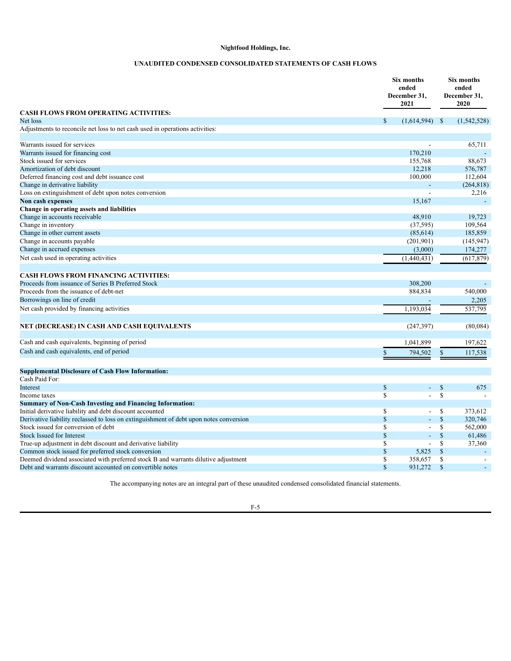# **UNAUDITED CONDENSED CONSOLIDATED STATEMENTS OF CASH FLOWS**

<span id="page-7-0"></span>

|                                                                                        | Six months<br>ended<br>December 31,<br>2021 |                |               | Six months<br>ended<br>December 31,<br>2020 |
|----------------------------------------------------------------------------------------|---------------------------------------------|----------------|---------------|---------------------------------------------|
| <b>CASH FLOWS FROM OPERATING ACTIVITIES:</b>                                           |                                             |                |               |                                             |
| Net loss                                                                               | $\mathbb{S}$<br>(1,614,594)                 | - \$           |               | (1,542,528)                                 |
| Adjustments to reconcile net loss to net cash used in operations activities:           |                                             |                |               |                                             |
| Warrants issued for services                                                           |                                             |                |               | 65,711                                      |
| Warrants issued for financing cost                                                     | 170,210                                     |                |               |                                             |
| Stock issued for services                                                              | 155,768                                     |                |               | 88,673                                      |
| Amortization of debt discount                                                          | 12,218                                      |                |               | 576,787                                     |
| Deferred financing cost and debt issuance cost                                         | 100,000                                     |                |               | 112,604                                     |
| Change in derivative liability                                                         |                                             |                |               | (264, 818)                                  |
| Loss on extinguishment of debt upon notes conversion                                   |                                             |                |               | 2,216                                       |
| Non cash expenses                                                                      | 15,167                                      |                |               |                                             |
| Change in operating assets and liabilities                                             |                                             |                |               |                                             |
| Change in accounts receivable                                                          | 48,910                                      |                |               | 19,723                                      |
| Change in inventory                                                                    | (37, 595)                                   |                |               | 109,564                                     |
| Change in other current assets                                                         |                                             |                |               | 185,859                                     |
|                                                                                        | (85,614)<br>(201,901)                       |                |               |                                             |
| Change in accounts payable                                                             |                                             |                |               | (145, 947)                                  |
| Change in accrued expenses                                                             | (3,000)                                     |                |               | 174,277                                     |
| Net cash used in operating activities                                                  | (1,440,431)                                 |                |               | (617, 879)                                  |
| <b>CASH FLOWS FROM FINANCING ACTIVITIES:</b>                                           |                                             |                |               |                                             |
| Proceeds from issuance of Series B Preferred Stock                                     | 308,200                                     |                |               |                                             |
| Proceeds from the issuance of debt-net                                                 | 884,834                                     |                |               | 540,000                                     |
| Borrowings on line of credit                                                           |                                             |                |               | 2,205                                       |
|                                                                                        |                                             |                |               |                                             |
| Net cash provided by financing activities                                              | 1,193,034                                   |                |               | 537,795                                     |
| NET (DECREASE) IN CASH AND CASH EQUIVALENTS                                            | (247, 397)                                  |                |               | (80,084)                                    |
| Cash and cash equivalents, beginning of period                                         | 1,041,899                                   |                |               | 197,622                                     |
| Cash and cash equivalents, end of period                                               | 794,502<br>\$                               |                | \$            | 117,538                                     |
|                                                                                        |                                             |                |               |                                             |
| <b>Supplemental Disclosure of Cash Flow Information:</b>                               |                                             |                |               |                                             |
| Cash Paid For:                                                                         |                                             |                |               |                                             |
| Interest                                                                               | $\mathbb{S}$                                | $\omega$       | $\mathcal{S}$ | 675                                         |
| Income taxes                                                                           | \$                                          | $\overline{a}$ | \$            | $\sim$                                      |
| <b>Summary of Non-Cash Investing and Financing Information:</b>                        |                                             |                |               |                                             |
| Initial derivative liability and debt discount accounted                               | \$                                          |                | \$            | 373,612                                     |
| Derivative liability reclassed to loss on extinguishment of debt upon notes conversion | \$                                          |                | $\mathsf{\$}$ | 320,746                                     |
| Stock issued for conversion of debt                                                    | \$                                          |                | \$            | 562,000                                     |
| <b>Stock Issued for Interest</b>                                                       | \$                                          |                | $\mathbb{S}$  | 61,486                                      |
| True-up adjustment in debt discount and derivative liability                           | \$                                          | $\overline{a}$ | \$            | 37,360                                      |
| Common stock issued for preferred stock conversion                                     | \$<br>5,825                                 |                | \$            |                                             |
| Deemed dividend associated with preferred stock B and warrants dilutive adjustment     | \$<br>358,657                               |                | \$            |                                             |
| Debt and warrants discount accounted on convertible notes                              | \$<br>931,272                               |                | $\mathbf S$   |                                             |
|                                                                                        |                                             |                |               |                                             |

The accompanying notes are an integral part of these unaudited condensed consolidated financial statements.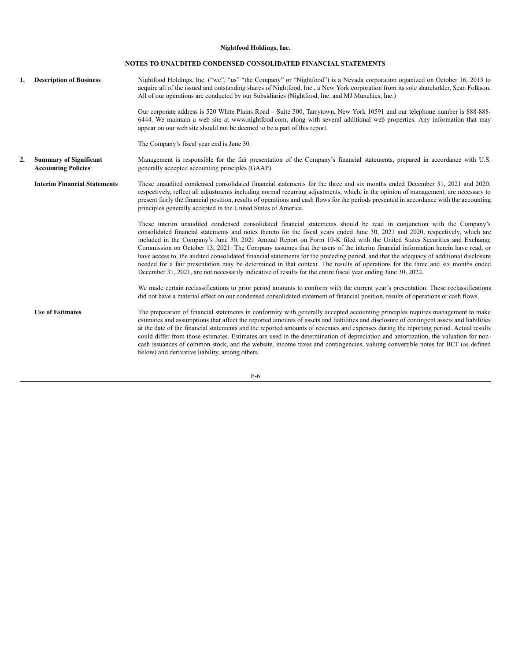#### **NOTES TO UNAUDITED CONDENSED CONSOLIDATED FINANCIAL STATEMENTS**

<span id="page-8-0"></span>1. **Description of Business** Nightfood Holdings, Inc. ("we", "us" "the Company" or "Nightfood") is a Nevada corporation organized on October 16, 2013 to acquire all of the issued and outstanding shares of Nightfood, Inc., a New York corporation from its sole shareholder, Sean Folkson. All of our operations are conducted by our Subsidiaries (Nightfood, Inc. and MJ Munchies, Inc.) Our corporate address is 520 White Plains Road – Suite 500, Tarrytown, New York 10591 and our telephone number is 888-888- 6444. We maintain a web site at www.nightfood.com, along with several additional web properties. Any information that may appear on our web site should not be deemed to be a part of this report. The Company's fiscal year end is June 30. **2. Summary of Significant Accounting Policies** Management is responsible for the fair presentation of the Company's financial statements, prepared in accordance with U.S. generally accepted accounting principles (GAAP). **Interim Financial Statements** These unaudited condensed consolidated financial statements for the three and six months ended December 31, 2021 and 2020, respectively, reflect all adjustments including normal recurring adjustments, which, in the opinion of management, are necessary to present fairly the financial position, results of operations and cash flows for the periods presented in accordance with the accounting principles generally accepted in the United States of America. These interim unaudited condensed consolidated financial statements should be read in conjunction with the Company's consolidated financial statements and notes thereto for the fiscal years ended June 30, 2021 and 2020, respectively, which are included in the Company's June 30, 2021 Annual Report on Form 10-K filed with the United States Securities and Exchange Commission on October 13, 2021. The Company assumes that the users of the interim financial information herein have read, or have access to, the audited consolidated financial statements for the preceding period, and that the adequacy of additional disclosure needed for a fair presentation may be determined in that context. The results of operations for the three and six months ended December 31, 2021, are not necessarily indicative of results for the entire fiscal year ending June 30, 2022. We made certain reclassifications to prior period amounts to conform with the current year's presentation. These reclassifications did not have a material effect on our condensed consolidated statement of financial position, results of operations or cash flows. **Use of Estimates** The preparation of financial statements in conformity with generally accepted accounting principles requires management to make estimates and assumptions that affect the reported amounts of assets and liabilities and disclosure of contingent assets and liabilities at the date of the financial statements and the reported amounts of revenues and expenses during the reporting period. Actual results could differ from those estimates. Estimates are used in the determination of depreciation and amortization, the valuation for noncash issuances of common stock, and the website, income taxes and contingencies, valuing convertible notes for BCF (as defined below) and derivative liability, among others.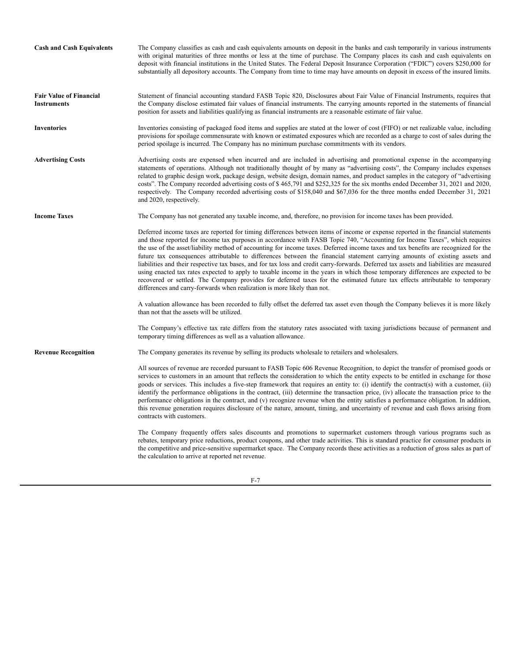| <b>Cash and Cash Equivalents</b>                     | The Company classifies as cash and cash equivalents amounts on deposit in the banks and cash temporarily in various instruments<br>with original maturities of three months or less at the time of purchase. The Company places its cash and cash equivalents on<br>deposit with financial institutions in the United States. The Federal Deposit Insurance Corporation ("FDIC") covers \$250,000 for<br>substantially all depository accounts. The Company from time to time may have amounts on deposit in excess of the insured limits.                                                                                                                                                                                                                                                                                                                                                                                                                                                                                         |
|------------------------------------------------------|------------------------------------------------------------------------------------------------------------------------------------------------------------------------------------------------------------------------------------------------------------------------------------------------------------------------------------------------------------------------------------------------------------------------------------------------------------------------------------------------------------------------------------------------------------------------------------------------------------------------------------------------------------------------------------------------------------------------------------------------------------------------------------------------------------------------------------------------------------------------------------------------------------------------------------------------------------------------------------------------------------------------------------|
| <b>Fair Value of Financial</b><br><b>Instruments</b> | Statement of financial accounting standard FASB Topic 820, Disclosures about Fair Value of Financial Instruments, requires that<br>the Company disclose estimated fair values of financial instruments. The carrying amounts reported in the statements of financial<br>position for assets and liabilities qualifying as financial instruments are a reasonable estimate of fair value.                                                                                                                                                                                                                                                                                                                                                                                                                                                                                                                                                                                                                                           |
| <b>Inventories</b>                                   | Inventories consisting of packaged food items and supplies are stated at the lower of cost (FIFO) or net realizable value, including<br>provisions for spoilage commensurate with known or estimated exposures which are recorded as a charge to cost of sales during the<br>period spoilage is incurred. The Company has no minimum purchase commitments with its vendors.                                                                                                                                                                                                                                                                                                                                                                                                                                                                                                                                                                                                                                                        |
| <b>Advertising Costs</b>                             | Advertising costs are expensed when incurred and are included in advertising and promotional expense in the accompanying<br>statements of operations. Although not traditionally thought of by many as "advertising costs", the Company includes expenses<br>related to graphic design work, package design, website design, domain names, and product samples in the category of "advertising<br>costs". The Company recorded advertising costs of \$465,791 and \$252,325 for the six months ended December 31, 2021 and 2020,<br>respectively. The Company recorded advertising costs of \$158,040 and \$67,036 for the three months ended December 31, 2021<br>and 2020, respectively.                                                                                                                                                                                                                                                                                                                                         |
| <b>Income Taxes</b>                                  | The Company has not generated any taxable income, and, therefore, no provision for income taxes has been provided.                                                                                                                                                                                                                                                                                                                                                                                                                                                                                                                                                                                                                                                                                                                                                                                                                                                                                                                 |
|                                                      | Deferred income taxes are reported for timing differences between items of income or expense reported in the financial statements<br>and those reported for income tax purposes in accordance with FASB Topic 740, "Accounting for Income Taxes", which requires<br>the use of the asset/liability method of accounting for income taxes. Deferred income taxes and tax benefits are recognized for the<br>future tax consequences attributable to differences between the financial statement carrying amounts of existing assets and<br>liabilities and their respective tax bases, and for tax loss and credit carry-forwards. Deferred tax assets and liabilities are measured<br>using enacted tax rates expected to apply to taxable income in the years in which those temporary differences are expected to be<br>recovered or settled. The Company provides for deferred taxes for the estimated future tax effects attributable to temporary<br>differences and carry-forwards when realization is more likely than not. |
|                                                      | A valuation allowance has been recorded to fully offset the deferred tax asset even though the Company believes it is more likely<br>than not that the assets will be utilized.                                                                                                                                                                                                                                                                                                                                                                                                                                                                                                                                                                                                                                                                                                                                                                                                                                                    |
|                                                      | The Company's effective tax rate differs from the statutory rates associated with taxing jurisdictions because of permanent and<br>temporary timing differences as well as a valuation allowance.                                                                                                                                                                                                                                                                                                                                                                                                                                                                                                                                                                                                                                                                                                                                                                                                                                  |
| <b>Revenue Recognition</b>                           | The Company generates its revenue by selling its products wholesale to retailers and wholesalers.                                                                                                                                                                                                                                                                                                                                                                                                                                                                                                                                                                                                                                                                                                                                                                                                                                                                                                                                  |
|                                                      | All sources of revenue are recorded pursuant to FASB Topic 606 Revenue Recognition, to depict the transfer of promised goods or<br>services to customers in an amount that reflects the consideration to which the entity expects to be entitled in exchange for those<br>goods or services. This includes a five-step framework that requires an entity to: (i) identify the contract(s) with a customer, (ii)<br>identify the performance obligations in the contract, (iii) determine the transaction price, (iv) allocate the transaction price to the<br>performance obligations in the contract, and (v) recognize revenue when the entity satisfies a performance obligation. In addition,<br>this revenue generation requires disclosure of the nature, amount, timing, and uncertainty of revenue and cash flows arising from<br>contracts with customers.                                                                                                                                                                |
|                                                      | The Company frequently offers sales discounts and promotions to supermarket customers through various programs such as<br>rebates, temporary price reductions, product coupons, and other trade activities. This is standard practice for consumer products in<br>the competitive and price-sensitive supermarket space. The Company records these activities as a reduction of gross sales as part of<br>the calculation to arrive at reported net revenue.                                                                                                                                                                                                                                                                                                                                                                                                                                                                                                                                                                       |

F-7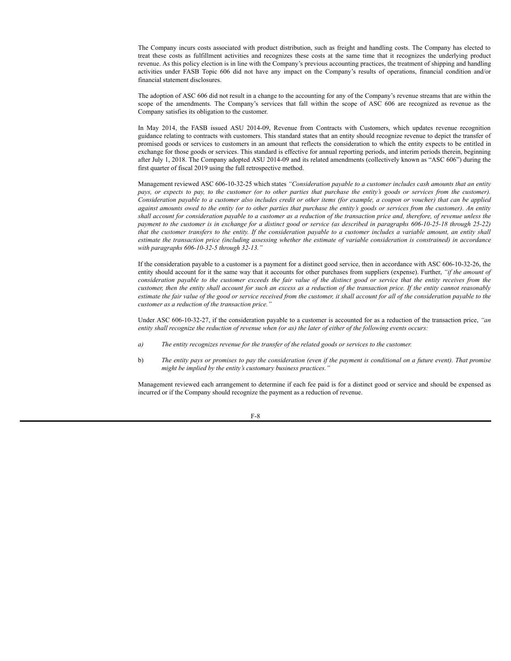The Company incurs costs associated with product distribution, such as freight and handling costs. The Company has elected to treat these costs as fulfillment activities and recognizes these costs at the same time that it recognizes the underlying product revenue. As this policy election is in line with the Company's previous accounting practices, the treatment of shipping and handling activities under FASB Topic 606 did not have any impact on the Company's results of operations, financial condition and/or financial statement disclosures.

The adoption of ASC 606 did not result in a change to the accounting for any of the Company's revenue streams that are within the scope of the amendments. The Company's services that fall within the scope of ASC 606 are recognized as revenue as the Company satisfies its obligation to the customer.

In May 2014, the FASB issued ASU 2014-09, Revenue from Contracts with Customers, which updates revenue recognition guidance relating to contracts with customers. This standard states that an entity should recognize revenue to depict the transfer of promised goods or services to customers in an amount that reflects the consideration to which the entity expects to be entitled in exchange for those goods or services. This standard is effective for annual reporting periods, and interim periods therein, beginning after July 1, 2018. The Company adopted ASU 2014-09 and its related amendments (collectively known as "ASC 606") during the first quarter of fiscal 2019 using the full retrospective method.

Management reviewed ASC 606-10-32-25 which states *"Consideration payable to a customer includes cash amounts that an entity* pays, or expects to pay, to the customer (or to other parties that purchase the entity's goods or services from the customer). Consideration payable to a customer also includes credit or other items (for example, a coupon or voucher) that can be applied against amounts owed to the entity (or to other parties that purchase the entity's goods or services from the customer). An entity shall account for consideration payable to a customer as a reduction of the transaction price and, therefore, of revenue unless the payment to the customer is in exchange for a distinct good or service (as described in paragraphs 606-10-25-18 through 25-22) that the customer transfers to the entity. If the consideration payable to a customer includes a variable amount, an entity shall estimate the transaction price (including assessing whether the estimate of variable consideration is constrained) in accordance *with paragraphs 606-10-32-5 through 32-13."*

If the consideration payable to a customer is a payment for a distinct good service, then in accordance with ASC 606-10-32-26, the entity should account for it the same way that it accounts for other purchases from suppliers (expense). Further, *"if the amount of* consideration payable to the customer exceeds the fair value of the distinct good or service that the entity receives from the customer, then the entity shall account for such an excess as a reduction of the transaction price. If the entity cannot reasonably estimate the fair value of the good or service received from the customer, it shall account for all of the consideration payable to the *customer as a reduction of the transaction price."*

Under ASC 606-10-32-27, if the consideration payable to a customer is accounted for as a reduction of the transaction price, *"an* entity shall recognize the reduction of revenue when (or as) the later of either of the following events occurs:

- *a) The entity recognizes revenue for the transfer of the related goods or services to the customer.*
- b) The entity pays or promises to pay the consideration (even if the payment is conditional on a future event). That promise *might be implied by the entity's customary business practices."*

Management reviewed each arrangement to determine if each fee paid is for a distinct good or service and should be expensed as incurred or if the Company should recognize the payment as a reduction of revenue.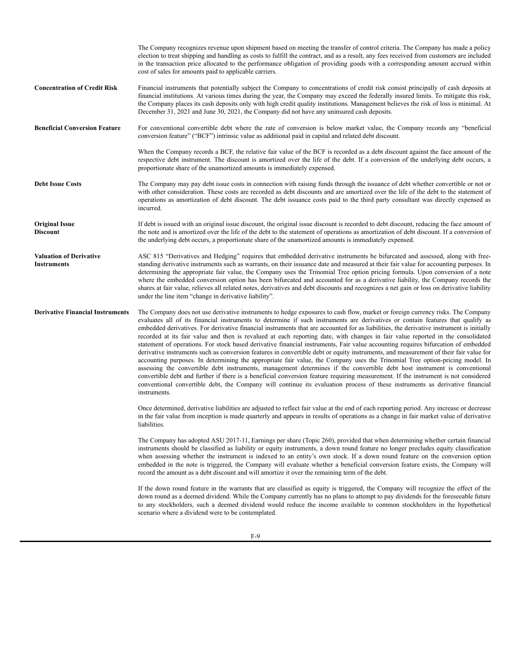The Company recognizes revenue upon shipment based on meeting the transfer of control criteria. The Company has made a policy election to treat shipping and handling as costs to fulfill the contract, and as a result, any fees received from customers are included in the transaction price allocated to the performance obligation of providing goods with a corresponding amount accrued within cost of sales for amounts paid to applicable carriers. **Concentration of Credit Risk** Financial instruments that potentially subject the Company to concentrations of credit risk consist principally of cash deposits at financial institutions. At various times during the year, the Company may exceed the federally insured limits. To mitigate this risk, the Company places its cash deposits only with high credit quality institutions. Management believes the risk of loss is minimal. At December 31, 2021 and June 30, 2021, the Company did not have any uninsured cash deposits. **Beneficial Conversion Feature** For conventional convertible debt where the rate of conversion is below market value, the Company records any "beneficial conversion feature" ("BCF") intrinsic value as additional paid in capital and related debt discount. When the Company records a BCF, the relative fair value of the BCF is recorded as a debt discount against the face amount of the respective debt instrument. The discount is amortized over the life of the debt. If a conversion of the underlying debt occurs, a proportionate share of the unamortized amounts is immediately expensed. **Debt Issue Costs** The Company may pay debt issue costs in connection with raising funds through the issuance of debt whether convertible or not or with other consideration. These costs are recorded as debt discounts and are amortized over the life of the debt to the statement of operations as amortization of debt discount. The debt issuance costs paid to the third party consultant was directly expensed as incurred. **Original Issue Discount** If debt is issued with an original issue discount, the original issue discount is recorded to debt discount, reducing the face amount of the note and is amortized over the life of the debt to the statement of operations as amortization of debt discount. If a conversion of the underlying debt occurs, a proportionate share of the unamortized amounts is immediately expensed. **Valuation of Derivative Instruments** ASC 815 "Derivatives and Hedging" requires that embedded derivative instruments be bifurcated and assessed, along with freestanding derivative instruments such as warrants, on their issuance date and measured at their fair value for accounting purposes. In determining the appropriate fair value, the Company uses the Trinomial Tree option pricing formula. Upon conversion of a note where the embedded conversion option has been bifurcated and accounted for as a derivative liability, the Company records the shares at fair value, relieves all related notes, derivatives and debt discounts and recognizes a net gain or loss on derivative liability under the line item "change in derivative liability". **Derivative Financial Instruments** The Company does not use derivative instruments to hedge exposures to cash flow, market or foreign currency risks. The Company evaluates all of its financial instruments to determine if such instruments are derivatives or contain features that qualify as embedded derivatives. For derivative financial instruments that are accounted for as liabilities, the derivative instrument is initially recorded at its fair value and then is revalued at each reporting date, with changes in fair value reported in the consolidated statement of operations. For stock based derivative financial instruments, Fair value accounting requires bifurcation of embedded derivative instruments such as conversion features in convertible debt or equity instruments, and measurement of their fair value for accounting purposes. In determining the appropriate fair value, the Company uses the Trinomial Tree option-pricing model. In assessing the convertible debt instruments, management determines if the convertible debt host instrument is conventional convertible debt and further if there is a beneficial conversion feature requiring measurement. If the instrument is not considered conventional convertible debt, the Company will continue its evaluation process of these instruments as derivative financial instruments. Once determined, derivative liabilities are adjusted to reflect fair value at the end of each reporting period. Any increase or decrease in the fair value from inception is made quarterly and appears in results of operations as a change in fair market value of derivative liabilities. The Company has adopted ASU 2017-11, Earnings per share (Topic 260), provided that when determining whether certain financial instruments should be classified as liability or equity instruments, a down round feature no longer precludes equity classification when assessing whether the instrument is indexed to an entity's own stock. If a down round feature on the conversion option embedded in the note is triggered, the Company will evaluate whether a beneficial conversion feature exists, the Company will record the amount as a debt discount and will amortize it over the remaining term of the debt. If the down round feature in the warrants that are classified as equity is triggered, the Company will recognize the effect of the down round as a deemed dividend. While the Company currently has no plans to attempt to pay dividends for the foreseeable future to any stockholders, such a deemed dividend would reduce the income available to common stockholders in the hypothetical scenario where a dividend were to be contemplated.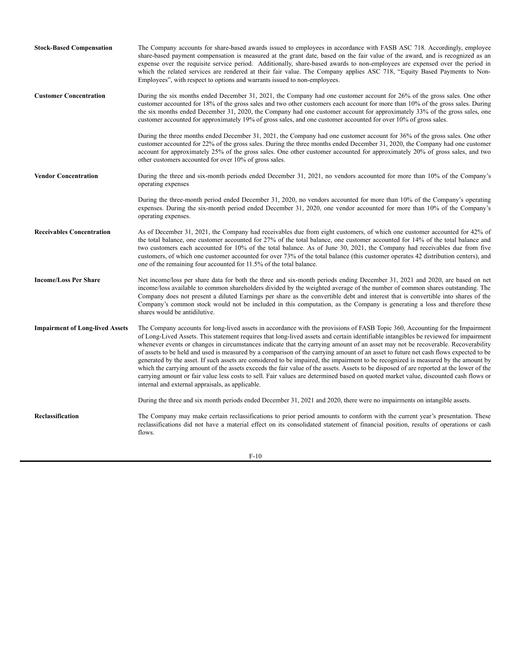| <b>Stock-Based Compensation</b>        | The Company accounts for share-based awards issued to employees in accordance with FASB ASC 718. Accordingly, employee<br>share-based payment compensation is measured at the grant date, based on the fair value of the award, and is recognized as an<br>expense over the requisite service period. Additionally, share-based awards to non-employees are expensed over the period in<br>which the related services are rendered at their fair value. The Company applies ASC 718, "Equity Based Payments to Non-<br>Employees", with respect to options and warrants issued to non-employees.                                                                                                                                                                                                                                                                                                                                                                                                                              |
|----------------------------------------|-------------------------------------------------------------------------------------------------------------------------------------------------------------------------------------------------------------------------------------------------------------------------------------------------------------------------------------------------------------------------------------------------------------------------------------------------------------------------------------------------------------------------------------------------------------------------------------------------------------------------------------------------------------------------------------------------------------------------------------------------------------------------------------------------------------------------------------------------------------------------------------------------------------------------------------------------------------------------------------------------------------------------------|
| <b>Customer Concentration</b>          | During the six months ended December 31, 2021, the Company had one customer account for 26% of the gross sales. One other<br>customer accounted for 18% of the gross sales and two other customers each account for more than 10% of the gross sales. During<br>the six months ended December 31, 2020, the Company had one customer account for approximately 33% of the gross sales, one<br>customer accounted for approximately 19% of gross sales, and one customer accounted for over 10% of gross sales.                                                                                                                                                                                                                                                                                                                                                                                                                                                                                                                |
|                                        | During the three months ended December 31, 2021, the Company had one customer account for 36% of the gross sales. One other<br>customer accounted for 22% of the gross sales. During the three months ended December 31, 2020, the Company had one customer<br>account for approximately 25% of the gross sales. One other customer accounted for approximately 20% of gross sales, and two<br>other customers accounted for over 10% of gross sales.                                                                                                                                                                                                                                                                                                                                                                                                                                                                                                                                                                         |
| <b>Vendor Concentration</b>            | During the three and six-month periods ended December 31, 2021, no vendors accounted for more than 10% of the Company's<br>operating expenses                                                                                                                                                                                                                                                                                                                                                                                                                                                                                                                                                                                                                                                                                                                                                                                                                                                                                 |
|                                        | During the three-month period ended December 31, 2020, no vendors accounted for more than 10% of the Company's operating<br>expenses. During the six-month period ended December 31, 2020, one vendor accounted for more than 10% of the Company's<br>operating expenses.                                                                                                                                                                                                                                                                                                                                                                                                                                                                                                                                                                                                                                                                                                                                                     |
| <b>Receivables Concentration</b>       | As of December 31, 2021, the Company had receivables due from eight customers, of which one customer accounted for 42% of<br>the total balance, one customer accounted for 27% of the total balance, one customer accounted for 14% of the total balance and<br>two customers each accounted for 10% of the total balance. As of June 30, 2021, the Company had receivables due from five<br>customers, of which one customer accounted for over 73% of the total balance (this customer operates 42 distribution centers), and<br>one of the remaining four accounted for 11.5% of the total balance.                                                                                                                                                                                                                                                                                                                                                                                                                        |
| <b>Income/Loss Per Share</b>           | Net income/loss per share data for both the three and six-month periods ending December 31, 2021 and 2020, are based on net<br>income/loss available to common shareholders divided by the weighted average of the number of common shares outstanding. The<br>Company does not present a diluted Earnings per share as the convertible debt and interest that is convertible into shares of the<br>Company's common stock would not be included in this computation, as the Company is generating a loss and therefore these<br>shares would be antidilutive.                                                                                                                                                                                                                                                                                                                                                                                                                                                                |
| <b>Impairment of Long-lived Assets</b> | The Company accounts for long-lived assets in accordance with the provisions of FASB Topic 360, Accounting for the Impairment<br>of Long-Lived Assets. This statement requires that long-lived assets and certain identifiable intangibles be reviewed for impairment<br>whenever events or changes in circumstances indicate that the carrying amount of an asset may not be recoverable. Recoverability<br>of assets to be held and used is measured by a comparison of the carrying amount of an asset to future net cash flows expected to be<br>generated by the asset. If such assets are considered to be impaired, the impairment to be recognized is measured by the amount by<br>which the carrying amount of the assets exceeds the fair value of the assets. Assets to be disposed of are reported at the lower of the<br>carrying amount or fair value less costs to sell. Fair values are determined based on quoted market value, discounted cash flows or<br>internal and external appraisals, as applicable. |
|                                        | During the three and six month periods ended December 31, 2021 and 2020, there were no impairments on intangible assets.                                                                                                                                                                                                                                                                                                                                                                                                                                                                                                                                                                                                                                                                                                                                                                                                                                                                                                      |
| <b>Reclassification</b>                | The Company may make certain reclassifications to prior period amounts to conform with the current year's presentation. These<br>reclassifications did not have a material effect on its consolidated statement of financial position, results of operations or cash<br>flows.                                                                                                                                                                                                                                                                                                                                                                                                                                                                                                                                                                                                                                                                                                                                                |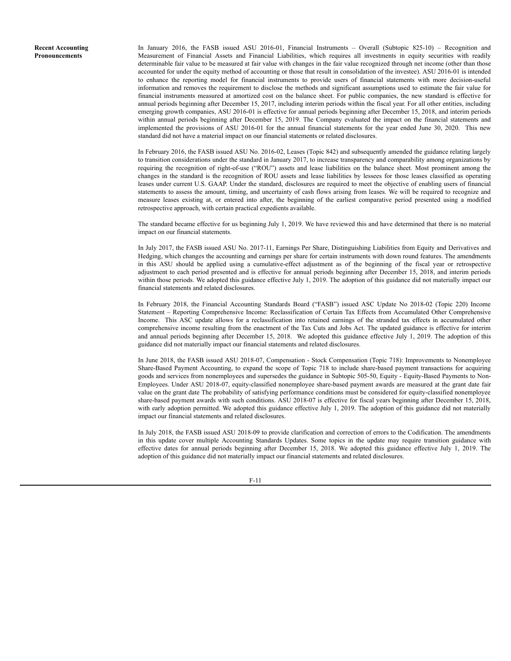**Recent Accounting Pronouncements**

In January 2016, the FASB issued ASU 2016-01, Financial Instruments – Overall (Subtopic 825-10) – Recognition and Measurement of Financial Assets and Financial Liabilities, which requires all investments in equity securities with readily determinable fair value to be measured at fair value with changes in the fair value recognized through net income (other than those accounted for under the equity method of accounting or those that result in consolidation of the investee). ASU 2016-01 is intended to enhance the reporting model for financial instruments to provide users of financial statements with more decision-useful information and removes the requirement to disclose the methods and significant assumptions used to estimate the fair value for financial instruments measured at amortized cost on the balance sheet. For public companies, the new standard is effective for annual periods beginning after December 15, 2017, including interim periods within the fiscal year. For all other entities, including emerging growth companies, ASU 2016-01 is effective for annual periods beginning after December 15, 2018, and interim periods within annual periods beginning after December 15, 2019. The Company evaluated the impact on the financial statements and implemented the provisions of ASU 2016-01 for the annual financial statements for the year ended June 30, 2020. This new standard did not have a material impact on our financial statements or related disclosures.

In February 2016, the FASB issued ASU No. 2016-02, Leases (Topic 842) and subsequently amended the guidance relating largely to transition considerations under the standard in January 2017, to increase transparency and comparability among organizations by requiring the recognition of right-of-use ("ROU") assets and lease liabilities on the balance sheet. Most prominent among the changes in the standard is the recognition of ROU assets and lease liabilities by lessees for those leases classified as operating leases under current U.S. GAAP. Under the standard, disclosures are required to meet the objective of enabling users of financial statements to assess the amount, timing, and uncertainty of cash flows arising from leases. We will be required to recognize and measure leases existing at, or entered into after, the beginning of the earliest comparative period presented using a modified retrospective approach, with certain practical expedients available.

The standard became effective for us beginning July 1, 2019. We have reviewed this and have determined that there is no material impact on our financial statements.

In July 2017, the FASB issued ASU No. 2017-11, Earnings Per Share, Distinguishing Liabilities from Equity and Derivatives and Hedging, which changes the accounting and earnings per share for certain instruments with down round features. The amendments in this ASU should be applied using a cumulative-effect adjustment as of the beginning of the fiscal year or retrospective adjustment to each period presented and is effective for annual periods beginning after December 15, 2018, and interim periods within those periods. We adopted this guidance effective July 1, 2019. The adoption of this guidance did not materially impact our financial statements and related disclosures.

In February 2018, the Financial Accounting Standards Board ("FASB") issued ASC Update No 2018-02 (Topic 220) Income Statement – Reporting Comprehensive Income: Reclassification of Certain Tax Effects from Accumulated Other Comprehensive Income. This ASC update allows for a reclassification into retained earnings of the stranded tax effects in accumulated other comprehensive income resulting from the enactment of the Tax Cuts and Jobs Act. The updated guidance is effective for interim and annual periods beginning after December 15, 2018. We adopted this guidance effective July 1, 2019. The adoption of this guidance did not materially impact our financial statements and related disclosures.

In June 2018, the FASB issued ASU 2018-07, Compensation - Stock Compensation (Topic 718): Improvements to Nonemployee Share-Based Payment Accounting, to expand the scope of Topic 718 to include share-based payment transactions for acquiring goods and services from nonemployees and supersedes the guidance in Subtopic 505-50, Equity - Equity-Based Payments to Non-Employees. Under ASU 2018-07, equity-classified nonemployee share-based payment awards are measured at the grant date fair value on the grant date The probability of satisfying performance conditions must be considered for equity-classified nonemployee share-based payment awards with such conditions. ASU 2018-07 is effective for fiscal years beginning after December 15, 2018, with early adoption permitted. We adopted this guidance effective July 1, 2019. The adoption of this guidance did not materially impact our financial statements and related disclosures.

In July 2018, the FASB issued ASU 2018-09 to provide clarification and correction of errors to the Codification. The amendments in this update cover multiple Accounting Standards Updates. Some topics in the update may require transition guidance with effective dates for annual periods beginning after December 15, 2018. We adopted this guidance effective July 1, 2019. The adoption of this guidance did not materially impact our financial statements and related disclosures.

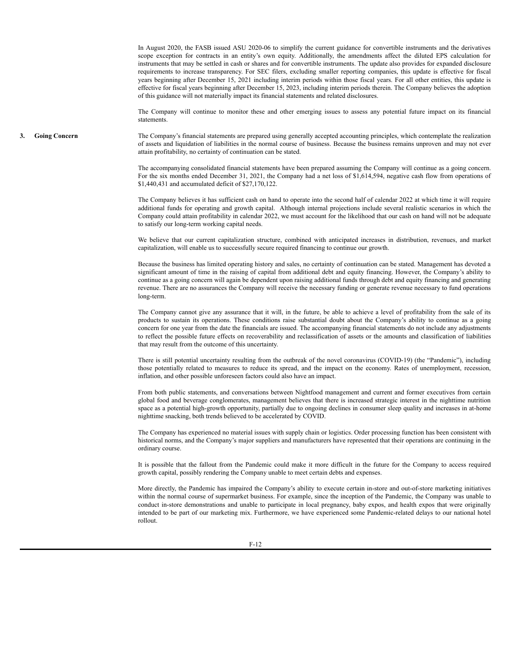In August 2020, the FASB issued ASU 2020-06 to simplify the current guidance for convertible instruments and the derivatives scope exception for contracts in an entity's own equity. Additionally, the amendments affect the diluted EPS calculation for instruments that may be settled in cash or shares and for convertible instruments. The update also provides for expanded disclosure requirements to increase transparency. For SEC filers, excluding smaller reporting companies, this update is effective for fiscal years beginning after December 15, 2021 including interim periods within those fiscal years. For all other entities, this update is effective for fiscal years beginning after December 15, 2023, including interim periods therein. The Company believes the adoption of this guidance will not materially impact its financial statements and related disclosures.

The Company will continue to monitor these and other emerging issues to assess any potential future impact on its financial statements.

**3. Going Concern** The Company's financial statements are prepared using generally accepted accounting principles, which contemplate the realization of assets and liquidation of liabilities in the normal course of business. Because the business remains unproven and may not ever attain profitability, no certainty of continuation can be stated.

> The accompanying consolidated financial statements have been prepared assuming the Company will continue as a going concern. For the six months ended December 31, 2021, the Company had a net loss of \$1,614,594, negative cash flow from operations of \$1,440,431 and accumulated deficit of \$27,170,122.

> The Company believes it has sufficient cash on hand to operate into the second half of calendar 2022 at which time it will require additional funds for operating and growth capital. Although internal projections include several realistic scenarios in which the Company could attain profitability in calendar 2022, we must account for the likelihood that our cash on hand will not be adequate to satisfy our long-term working capital needs.

> We believe that our current capitalization structure, combined with anticipated increases in distribution, revenues, and market capitalization, will enable us to successfully secure required financing to continue our growth.

> Because the business has limited operating history and sales, no certainty of continuation can be stated. Management has devoted a significant amount of time in the raising of capital from additional debt and equity financing. However, the Company's ability to continue as a going concern will again be dependent upon raising additional funds through debt and equity financing and generating revenue. There are no assurances the Company will receive the necessary funding or generate revenue necessary to fund operations long-term.

> The Company cannot give any assurance that it will, in the future, be able to achieve a level of profitability from the sale of its products to sustain its operations. These conditions raise substantial doubt about the Company's ability to continue as a going concern for one year from the date the financials are issued. The accompanying financial statements do not include any adjustments to reflect the possible future effects on recoverability and reclassification of assets or the amounts and classification of liabilities that may result from the outcome of this uncertainty.

> There is still potential uncertainty resulting from the outbreak of the novel coronavirus (COVID-19) (the "Pandemic"), including those potentially related to measures to reduce its spread, and the impact on the economy. Rates of unemployment, recession, inflation, and other possible unforeseen factors could also have an impact.

> From both public statements, and conversations between Nightfood management and current and former executives from certain global food and beverage conglomerates, management believes that there is increased strategic interest in the nighttime nutrition space as a potential high-growth opportunity, partially due to ongoing declines in consumer sleep quality and increases in at-home nighttime snacking, both trends believed to be accelerated by COVID.

> The Company has experienced no material issues with supply chain or logistics. Order processing function has been consistent with historical norms, and the Company's major suppliers and manufacturers have represented that their operations are continuing in the ordinary course.

> It is possible that the fallout from the Pandemic could make it more difficult in the future for the Company to access required growth capital, possibly rendering the Company unable to meet certain debts and expenses.

> More directly, the Pandemic has impaired the Company's ability to execute certain in-store and out-of-store marketing initiatives within the normal course of supermarket business. For example, since the inception of the Pandemic, the Company was unable to conduct in-store demonstrations and unable to participate in local pregnancy, baby expos, and health expos that were originally intended to be part of our marketing mix. Furthermore, we have experienced some Pandemic-related delays to our national hotel rollout.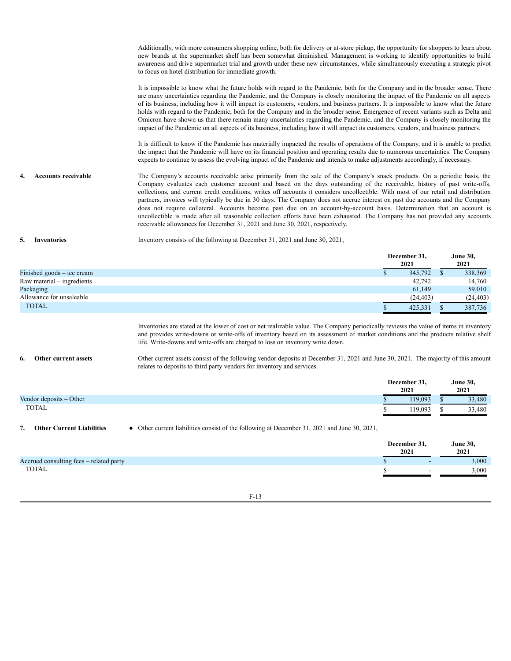Additionally, with more consumers shopping online, both for delivery or at-store pickup, the opportunity for shoppers to learn about new brands at the supermarket shelf has been somewhat diminished. Management is working to identify opportunities to build awareness and drive supermarket trial and growth under these new circumstances, while simultaneously executing a strategic pivot to focus on hotel distribution for immediate growth.

It is impossible to know what the future holds with regard to the Pandemic, both for the Company and in the broader sense. There are many uncertainties regarding the Pandemic, and the Company is closely monitoring the impact of the Pandemic on all aspects of its business, including how it will impact its customers, vendors, and business partners. It is impossible to know what the future holds with regard to the Pandemic, both for the Company and in the broader sense. Emergence of recent variants such as Delta and Omicron have shown us that there remain many uncertainties regarding the Pandemic, and the Company is closely monitoring the impact of the Pandemic on all aspects of its business, including how it will impact its customers, vendors, and business partners.

It is difficult to know if the Pandemic has materially impacted the results of operations of the Company, and it is unable to predict the impact that the Pandemic will have on its financial position and operating results due to numerous uncertainties. The Company expects to continue to assess the evolving impact of the Pandemic and intends to make adjustments accordingly, if necessary.

Accounts receivable The Company's accounts receivable arise primarily from the sale of the Company's snack products. On a periodic basis, the Company evaluates each customer account and based on the days outstanding of the receivable, history of past write-offs, collections, and current credit conditions, writes off accounts it considers uncollectible. With most of our retail and distribution partners, invoices will typically be due in 30 days. The Company does not accrue interest on past due accounts and the Company does not require collateral. Accounts become past due on an account-by-account basis. Determination that an account is uncollectible is made after all reasonable collection efforts have been exhausted. The Company has not provided any accounts receivable allowances for December 31, 2021 and June 30, 2021, respectively.

**5. Inventories** Inventory consists of the following at December 31, 2021 and June 30, 2021,

| December 31,<br>2021         |           |  | <b>June 30,</b><br>2021 |  |
|------------------------------|-----------|--|-------------------------|--|
| Finished goods $-$ ice cream | 345,792   |  | 338,369                 |  |
| $Raw material - ingredients$ | 42,792    |  | 14.760                  |  |
| Packaging                    | 61,149    |  | 59,010                  |  |
| Allowance for unsaleable     | (24, 403) |  | (24, 403)               |  |
| <b>TOTAL</b>                 | 425,331   |  | 387,736                 |  |

Inventories are stated at the lower of cost or net realizable value. The Company periodically reviews the value of items in inventory and provides write-downs or write-offs of inventory based on its assessment of market conditions and the products relative shelf life. Write-downs and write-offs are charged to loss on inventory write down.

**6. Other current assets** Other current assets consist of the following vendor deposits at December 31, 2021 and June 30, 2021. The majority of this amount relates to deposits to third party vendors for inventory and services.

|                           | December 31,<br>2021 | <b>June 30,</b><br>2021 |
|---------------------------|----------------------|-------------------------|
| Vendor deposits $-$ Other | 119,093              | 33,480                  |
| <b>TOTAL</b>              | 119.093              | 33,480                  |

7. **Other Current Liabilities** • Other current liabilities consist of the following at December 31, 2021 and June 30, 2021,

|                                         | December 31,<br>2021 | <b>June 30,</b><br>2021 |
|-----------------------------------------|----------------------|-------------------------|
| Accrued consulting fees – related party | -                    | 3,000                   |
| <b>TOTAL</b>                            |                      | 3,000                   |

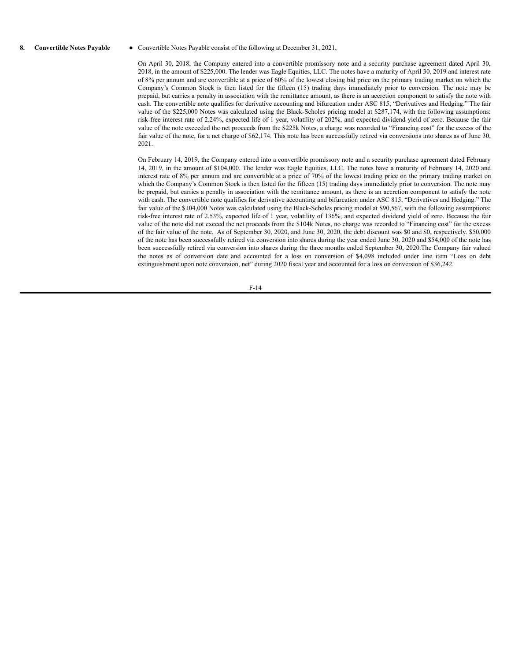8. **Convertible Notes Payable** • Convertible Notes Payable consist of the following at December 31, 2021,

On April 30, 2018, the Company entered into a convertible promissory note and a security purchase agreement dated April 30, 2018, in the amount of \$225,000. The lender was Eagle Equities, LLC. The notes have a maturity of April 30, 2019 and interest rate of 8% per annum and are convertible at a price of 60% of the lowest closing bid price on the primary trading market on which the Company's Common Stock is then listed for the fifteen (15) trading days immediately prior to conversion. The note may be prepaid, but carries a penalty in association with the remittance amount, as there is an accretion component to satisfy the note with cash. The convertible note qualifies for derivative accounting and bifurcation under ASC 815, "Derivatives and Hedging." The fair value of the \$225,000 Notes was calculated using the Black-Scholes pricing model at \$287,174, with the following assumptions: risk-free interest rate of 2.24%, expected life of 1 year, volatility of 202%, and expected dividend yield of zero. Because the fair value of the note exceeded the net proceeds from the \$225k Notes, a charge was recorded to "Financing cost" for the excess of the fair value of the note, for a net charge of \$62,174. This note has been successfully retired via conversions into shares as of June 30, 2021.

On February 14, 2019, the Company entered into a convertible promissory note and a security purchase agreement dated February 14, 2019, in the amount of \$104,000. The lender was Eagle Equities, LLC. The notes have a maturity of February 14, 2020 and interest rate of 8% per annum and are convertible at a price of 70% of the lowest trading price on the primary trading market on which the Company's Common Stock is then listed for the fifteen (15) trading days immediately prior to conversion. The note may be prepaid, but carries a penalty in association with the remittance amount, as there is an accretion component to satisfy the note with cash. The convertible note qualifies for derivative accounting and bifurcation under ASC 815, "Derivatives and Hedging." The fair value of the \$104,000 Notes was calculated using the Black-Scholes pricing model at \$90,567, with the following assumptions: risk-free interest rate of 2.53%, expected life of 1 year, volatility of 136%, and expected dividend yield of zero. Because the fair value of the note did not exceed the net proceeds from the \$104k Notes, no charge was recorded to "Financing cost" for the excess of the fair value of the note. As of September 30, 2020, and June 30, 2020, the debt discount was \$0 and \$0, respectively. \$50,000 of the note has been successfully retired via conversion into shares during the year ended June 30, 2020 and \$54,000 of the note has been successfully retired via conversion into shares during the three months ended September 30, 2020.The Company fair valued the notes as of conversion date and accounted for a loss on conversion of \$4,098 included under line item "Loss on debt extinguishment upon note conversion, net" during 2020 fiscal year and accounted for a loss on conversion of \$36,242.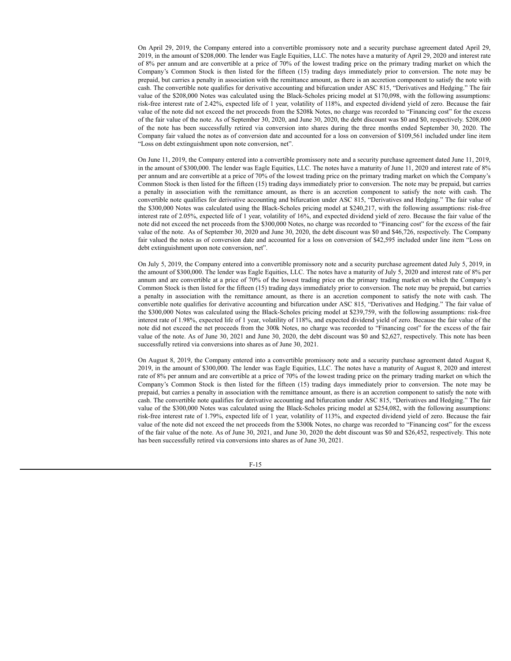On April 29, 2019, the Company entered into a convertible promissory note and a security purchase agreement dated April 29, 2019, in the amount of \$208,000. The lender was Eagle Equities, LLC. The notes have a maturity of April 29, 2020 and interest rate of 8% per annum and are convertible at a price of 70% of the lowest trading price on the primary trading market on which the Company's Common Stock is then listed for the fifteen (15) trading days immediately prior to conversion. The note may be prepaid, but carries a penalty in association with the remittance amount, as there is an accretion component to satisfy the note with cash. The convertible note qualifies for derivative accounting and bifurcation under ASC 815, "Derivatives and Hedging." The fair value of the \$208,000 Notes was calculated using the Black-Scholes pricing model at \$170,098, with the following assumptions: risk-free interest rate of 2.42%, expected life of 1 year, volatility of 118%, and expected dividend yield of zero. Because the fair value of the note did not exceed the net proceeds from the \$208k Notes, no charge was recorded to "Financing cost" for the excess of the fair value of the note. As of September 30, 2020, and June 30, 2020, the debt discount was \$0 and \$0, respectively. \$208,000 of the note has been successfully retired via conversion into shares during the three months ended September 30, 2020. The Company fair valued the notes as of conversion date and accounted for a loss on conversion of \$109,561 included under line item "Loss on debt extinguishment upon note conversion, net".

On June 11, 2019, the Company entered into a convertible promissory note and a security purchase agreement dated June 11, 2019, in the amount of \$300,000. The lender was Eagle Equities, LLC. The notes have a maturity of June 11, 2020 and interest rate of 8% per annum and are convertible at a price of 70% of the lowest trading price on the primary trading market on which the Company's Common Stock is then listed for the fifteen (15) trading days immediately prior to conversion. The note may be prepaid, but carries a penalty in association with the remittance amount, as there is an accretion component to satisfy the note with cash. The convertible note qualifies for derivative accounting and bifurcation under ASC 815, "Derivatives and Hedging." The fair value of the \$300,000 Notes was calculated using the Black-Scholes pricing model at \$240,217, with the following assumptions: risk-free interest rate of 2.05%, expected life of 1 year, volatility of 16%, and expected dividend yield of zero. Because the fair value of the note did not exceed the net proceeds from the \$300,000 Notes, no charge was recorded to "Financing cost" for the excess of the fair value of the note. As of September 30, 2020 and June 30, 2020, the debt discount was \$0 and \$46,726, respectively. The Company fair valued the notes as of conversion date and accounted for a loss on conversion of \$42,595 included under line item "Loss on debt extinguishment upon note conversion, net".

On July 5, 2019, the Company entered into a convertible promissory note and a security purchase agreement dated July 5, 2019, in the amount of \$300,000. The lender was Eagle Equities, LLC. The notes have a maturity of July 5, 2020 and interest rate of 8% per annum and are convertible at a price of 70% of the lowest trading price on the primary trading market on which the Company's Common Stock is then listed for the fifteen (15) trading days immediately prior to conversion. The note may be prepaid, but carries a penalty in association with the remittance amount, as there is an accretion component to satisfy the note with cash. The convertible note qualifies for derivative accounting and bifurcation under ASC 815, "Derivatives and Hedging." The fair value of the \$300,000 Notes was calculated using the Black-Scholes pricing model at \$239,759, with the following assumptions: risk-free interest rate of 1.98%, expected life of 1 year, volatility of 118%, and expected dividend yield of zero. Because the fair value of the note did not exceed the net proceeds from the 300k Notes, no charge was recorded to "Financing cost" for the excess of the fair value of the note. As of June 30, 2021 and June 30, 2020, the debt discount was \$0 and \$2,627, respectively. This note has been successfully retired via conversions into shares as of June 30, 2021.

On August 8, 2019, the Company entered into a convertible promissory note and a security purchase agreement dated August 8, 2019, in the amount of \$300,000. The lender was Eagle Equities, LLC. The notes have a maturity of August 8, 2020 and interest rate of 8% per annum and are convertible at a price of 70% of the lowest trading price on the primary trading market on which the Company's Common Stock is then listed for the fifteen (15) trading days immediately prior to conversion. The note may be prepaid, but carries a penalty in association with the remittance amount, as there is an accretion component to satisfy the note with cash. The convertible note qualifies for derivative accounting and bifurcation under ASC 815, "Derivatives and Hedging." The fair value of the \$300,000 Notes was calculated using the Black-Scholes pricing model at \$254,082, with the following assumptions: risk-free interest rate of 1.79%, expected life of 1 year, volatility of 113%, and expected dividend yield of zero. Because the fair value of the note did not exceed the net proceeds from the \$300k Notes, no charge was recorded to "Financing cost" for the excess of the fair value of the note. As of June 30, 2021, and June 30, 2020 the debt discount was \$0 and \$26,452, respectively. This note has been successfully retired via conversions into shares as of June 30, 2021.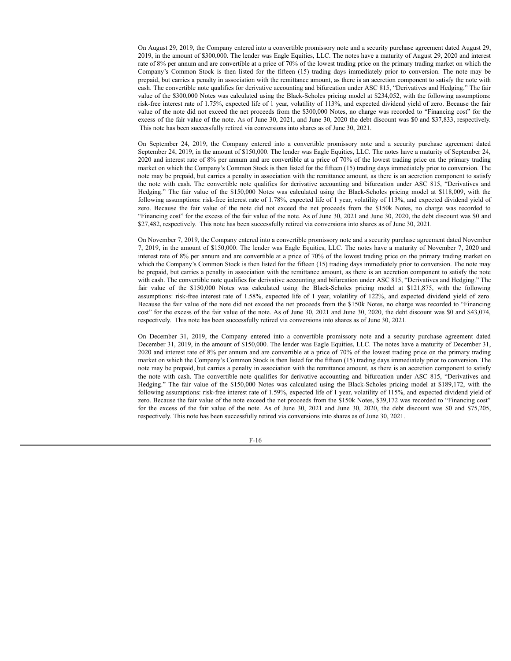On August 29, 2019, the Company entered into a convertible promissory note and a security purchase agreement dated August 29, 2019, in the amount of \$300,000. The lender was Eagle Equities, LLC. The notes have a maturity of August 29, 2020 and interest rate of 8% per annum and are convertible at a price of 70% of the lowest trading price on the primary trading market on which the Company's Common Stock is then listed for the fifteen (15) trading days immediately prior to conversion. The note may be prepaid, but carries a penalty in association with the remittance amount, as there is an accretion component to satisfy the note with cash. The convertible note qualifies for derivative accounting and bifurcation under ASC 815, "Derivatives and Hedging." The fair value of the \$300,000 Notes was calculated using the Black-Scholes pricing model at \$234,052, with the following assumptions: risk-free interest rate of 1.75%, expected life of 1 year, volatility of 113%, and expected dividend yield of zero. Because the fair value of the note did not exceed the net proceeds from the \$300,000 Notes, no charge was recorded to "Financing cost" for the excess of the fair value of the note. As of June 30, 2021, and June 30, 2020 the debt discount was \$0 and \$37,833, respectively. This note has been successfully retired via conversions into shares as of June 30, 2021.

On September 24, 2019, the Company entered into a convertible promissory note and a security purchase agreement dated September 24, 2019, in the amount of \$150,000. The lender was Eagle Equities, LLC. The notes have a maturity of September 24, 2020 and interest rate of 8% per annum and are convertible at a price of 70% of the lowest trading price on the primary trading market on which the Company's Common Stock is then listed for the fifteen (15) trading days immediately prior to conversion. The note may be prepaid, but carries a penalty in association with the remittance amount, as there is an accretion component to satisfy the note with cash. The convertible note qualifies for derivative accounting and bifurcation under ASC 815, "Derivatives and Hedging." The fair value of the \$150,000 Notes was calculated using the Black-Scholes pricing model at \$118,009, with the following assumptions: risk-free interest rate of 1.78%, expected life of 1 year, volatility of 113%, and expected dividend yield of zero. Because the fair value of the note did not exceed the net proceeds from the \$150k Notes, no charge was recorded to "Financing cost" for the excess of the fair value of the note. As of June 30, 2021 and June 30, 2020, the debt discount was \$0 and \$27,482, respectively. This note has been successfully retired via conversions into shares as of June 30, 2021.

On November 7, 2019, the Company entered into a convertible promissory note and a security purchase agreement dated November 7, 2019, in the amount of \$150,000. The lender was Eagle Equities, LLC. The notes have a maturity of November 7, 2020 and interest rate of 8% per annum and are convertible at a price of 70% of the lowest trading price on the primary trading market on which the Company's Common Stock is then listed for the fifteen (15) trading days immediately prior to conversion. The note may be prepaid, but carries a penalty in association with the remittance amount, as there is an accretion component to satisfy the note with cash. The convertible note qualifies for derivative accounting and bifurcation under ASC 815, "Derivatives and Hedging." The fair value of the \$150,000 Notes was calculated using the Black-Scholes pricing model at \$121,875, with the following assumptions: risk-free interest rate of 1.58%, expected life of 1 year, volatility of 122%, and expected dividend yield of zero. Because the fair value of the note did not exceed the net proceeds from the \$150k Notes, no charge was recorded to "Financing cost" for the excess of the fair value of the note. As of June 30, 2021 and June 30, 2020, the debt discount was \$0 and \$43,074, respectively. This note has been successfully retired via conversions into shares as of June 30, 2021.

On December 31, 2019, the Company entered into a convertible promissory note and a security purchase agreement dated December 31, 2019, in the amount of \$150,000. The lender was Eagle Equities, LLC. The notes have a maturity of December 31, 2020 and interest rate of 8% per annum and are convertible at a price of 70% of the lowest trading price on the primary trading market on which the Company's Common Stock is then listed for the fifteen (15) trading days immediately prior to conversion. The note may be prepaid, but carries a penalty in association with the remittance amount, as there is an accretion component to satisfy the note with cash. The convertible note qualifies for derivative accounting and bifurcation under ASC 815, "Derivatives and Hedging." The fair value of the \$150,000 Notes was calculated using the Black-Scholes pricing model at \$189,172, with the following assumptions: risk-free interest rate of 1.59%, expected life of 1 year, volatility of 115%, and expected dividend yield of zero. Because the fair value of the note exceed the net proceeds from the \$150k Notes, \$39,172 was recorded to "Financing cost" for the excess of the fair value of the note. As of June 30, 2021 and June 30, 2020, the debt discount was \$0 and \$75,205, respectively. This note has been successfully retired via conversions into shares as of June 30, 2021.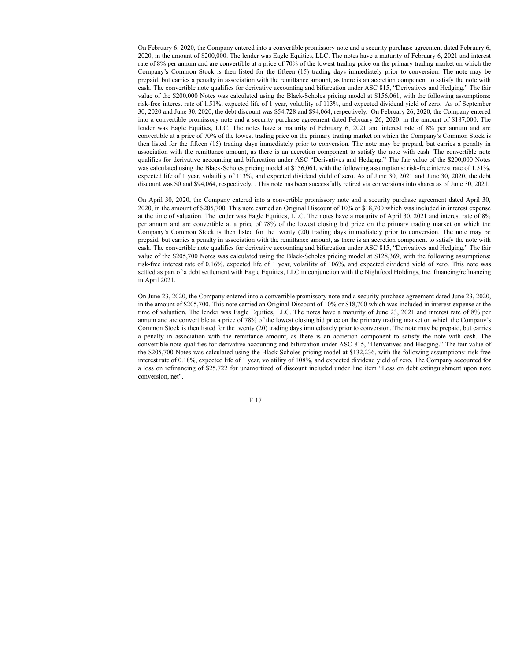On February 6, 2020, the Company entered into a convertible promissory note and a security purchase agreement dated February 6, 2020, in the amount of \$200,000. The lender was Eagle Equities, LLC. The notes have a maturity of February 6, 2021 and interest rate of 8% per annum and are convertible at a price of 70% of the lowest trading price on the primary trading market on which the Company's Common Stock is then listed for the fifteen (15) trading days immediately prior to conversion. The note may be prepaid, but carries a penalty in association with the remittance amount, as there is an accretion component to satisfy the note with cash. The convertible note qualifies for derivative accounting and bifurcation under ASC 815, "Derivatives and Hedging." The fair value of the \$200,000 Notes was calculated using the Black-Scholes pricing model at \$156,061, with the following assumptions: risk-free interest rate of 1.51%, expected life of 1 year, volatility of 113%, and expected dividend yield of zero. As of September 30, 2020 and June 30, 2020, the debt discount was \$54,728 and \$94,064, respectively. On February 26, 2020, the Company entered into a convertible promissory note and a security purchase agreement dated February 26, 2020, in the amount of \$187,000. The lender was Eagle Equities, LLC. The notes have a maturity of February 6, 2021 and interest rate of 8% per annum and are convertible at a price of 70% of the lowest trading price on the primary trading market on which the Company's Common Stock is then listed for the fifteen (15) trading days immediately prior to conversion. The note may be prepaid, but carries a penalty in association with the remittance amount, as there is an accretion component to satisfy the note with cash. The convertible note qualifies for derivative accounting and bifurcation under ASC "Derivatives and Hedging." The fair value of the \$200,000 Notes was calculated using the Black-Scholes pricing model at \$156,061, with the following assumptions: risk-free interest rate of 1.51%, expected life of 1 year, volatility of 113%, and expected dividend yield of zero. As of June 30, 2021 and June 30, 2020, the debt discount was \$0 and \$94,064, respectively. . This note has been successfully retired via conversions into shares as of June 30, 2021.

On April 30, 2020, the Company entered into a convertible promissory note and a security purchase agreement dated April 30, 2020, in the amount of \$205,700. This note carried an Original Discount of 10% or \$18,700 which was included in interest expense at the time of valuation. The lender was Eagle Equities, LLC. The notes have a maturity of April 30, 2021 and interest rate of 8% per annum and are convertible at a price of 78% of the lowest closing bid price on the primary trading market on which the Company's Common Stock is then listed for the twenty (20) trading days immediately prior to conversion. The note may be prepaid, but carries a penalty in association with the remittance amount, as there is an accretion component to satisfy the note with cash. The convertible note qualifies for derivative accounting and bifurcation under ASC 815, "Derivatives and Hedging." The fair value of the \$205,700 Notes was calculated using the Black-Scholes pricing model at \$128,369, with the following assumptions: risk-free interest rate of 0.16%, expected life of 1 year, volatility of 106%, and expected dividend yield of zero. This note was settled as part of a debt settlement with Eagle Equities, LLC in conjunction with the Nightfood Holdings, Inc. financing/refinancing in April 2021.

On June 23, 2020, the Company entered into a convertible promissory note and a security purchase agreement dated June 23, 2020, in the amount of \$205,700. This note carried an Original Discount of 10% or \$18,700 which was included in interest expense at the time of valuation. The lender was Eagle Equities, LLC. The notes have a maturity of June 23, 2021 and interest rate of 8% per annum and are convertible at a price of 78% of the lowest closing bid price on the primary trading market on which the Company's Common Stock is then listed for the twenty (20) trading days immediately prior to conversion. The note may be prepaid, but carries a penalty in association with the remittance amount, as there is an accretion component to satisfy the note with cash. The convertible note qualifies for derivative accounting and bifurcation under ASC 815, "Derivatives and Hedging." The fair value of the \$205,700 Notes was calculated using the Black-Scholes pricing model at \$132,236, with the following assumptions: risk-free interest rate of 0.18%, expected life of 1 year, volatility of 108%, and expected dividend yield of zero. The Company accounted for a loss on refinancing of \$25,722 for unamortized of discount included under line item "Loss on debt extinguishment upon note conversion, net".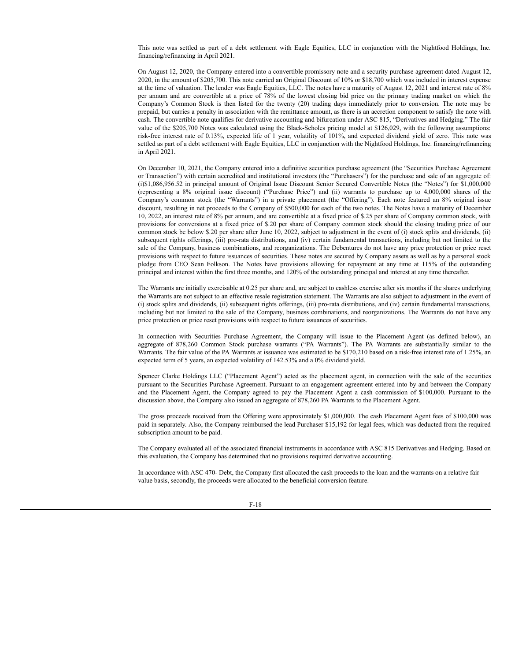This note was settled as part of a debt settlement with Eagle Equities, LLC in conjunction with the Nightfood Holdings, Inc. financing/refinancing in April 2021.

On August 12, 2020, the Company entered into a convertible promissory note and a security purchase agreement dated August 12, 2020, in the amount of \$205,700. This note carried an Original Discount of 10% or \$18,700 which was included in interest expense at the time of valuation. The lender was Eagle Equities, LLC. The notes have a maturity of August 12, 2021 and interest rate of 8% per annum and are convertible at a price of 78% of the lowest closing bid price on the primary trading market on which the Company's Common Stock is then listed for the twenty (20) trading days immediately prior to conversion. The note may be prepaid, but carries a penalty in association with the remittance amount, as there is an accretion component to satisfy the note with cash. The convertible note qualifies for derivative accounting and bifurcation under ASC 815, "Derivatives and Hedging." The fair value of the \$205,700 Notes was calculated using the Black-Scholes pricing model at \$126,029, with the following assumptions: risk-free interest rate of 0.13%, expected life of 1 year, volatility of 101%, and expected dividend yield of zero. This note was settled as part of a debt settlement with Eagle Equities, LLC in conjunction with the Nightfood Holdings, Inc. financing/refinancing in April 2021.

On December 10, 2021, the Company entered into a definitive securities purchase agreement (the "Securities Purchase Agreement or Transaction") with certain accredited and institutional investors (the "Purchasers") for the purchase and sale of an aggregate of: (i)\$1,086,956.52 in principal amount of Original Issue Discount Senior Secured Convertible Notes (the "Notes") for \$1,000,000 (representing a 8% original issue discount) ("Purchase Price") and (ii) warrants to purchase up to 4,000,000 shares of the Company's common stock (the "Warrants") in a private placement (the "Offering"). Each note featured an 8% original issue discount, resulting in net proceeds to the Company of \$500,000 for each of the two notes. The Notes have a maturity of December 10, 2022, an interest rate of 8% per annum, and are convertible at a fixed price of \$.25 per share of Company common stock, with provisions for conversions at a fixed price of \$.20 per share of Company common stock should the closing trading price of our common stock be below \$.20 per share after June 10, 2022, subject to adjustment in the event of (i) stock splits and dividends, (ii) subsequent rights offerings, (iii) pro-rata distributions, and (iv) certain fundamental transactions, including but not limited to the sale of the Company, business combinations, and reorganizations. The Debentures do not have any price protection or price reset provisions with respect to future issuances of securities. These notes are secured by Company assets as well as by a personal stock pledge from CEO Sean Folkson. The Notes have provisions allowing for repayment at any time at 115% of the outstanding principal and interest within the first three months, and 120% of the outstanding principal and interest at any time thereafter.

The Warrants are initially exercisable at 0.25 per share and, are subject to cashless exercise after six months if the shares underlying the Warrants are not subject to an effective resale registration statement. The Warrants are also subject to adjustment in the event of (i) stock splits and dividends, (ii) subsequent rights offerings, (iii) pro-rata distributions, and (iv) certain fundamental transactions, including but not limited to the sale of the Company, business combinations, and reorganizations. The Warrants do not have any price protection or price reset provisions with respect to future issuances of securities.

In connection with Securities Purchase Agreement, the Company will issue to the Placement Agent (as defined below), an aggregate of 878,260 Common Stock purchase warrants ("PA Warrants"). The PA Warrants are substantially similar to the Warrants. The fair value of the PA Warrants at issuance was estimated to be \$170,210 based on a risk-free interest rate of 1.25%, an expected term of 5 years, an expected volatility of 142.53% and a 0% dividend yield.

Spencer Clarke Holdings LLC ("Placement Agent") acted as the placement agent, in connection with the sale of the securities pursuant to the Securities Purchase Agreement. Pursuant to an engagement agreement entered into by and between the Company and the Placement Agent, the Company agreed to pay the Placement Agent a cash commission of \$100,000. Pursuant to the discussion above, the Company also issued an aggregate of 878,260 PA Warrants to the Placement Agent.

The gross proceeds received from the Offering were approximately \$1,000,000. The cash Placement Agent fees of \$100,000 was paid in separately. Also, the Company reimbursed the lead Purchaser \$15,192 for legal fees, which was deducted from the required subscription amount to be paid.

The Company evaluated all of the associated financial instruments in accordance with ASC 815 Derivatives and Hedging. Based on this evaluation, the Company has determined that no provisions required derivative accounting.

In accordance with ASC 470- Debt, the Company first allocated the cash proceeds to the loan and the warrants on a relative fair value basis, secondly, the proceeds were allocated to the beneficial conversion feature.

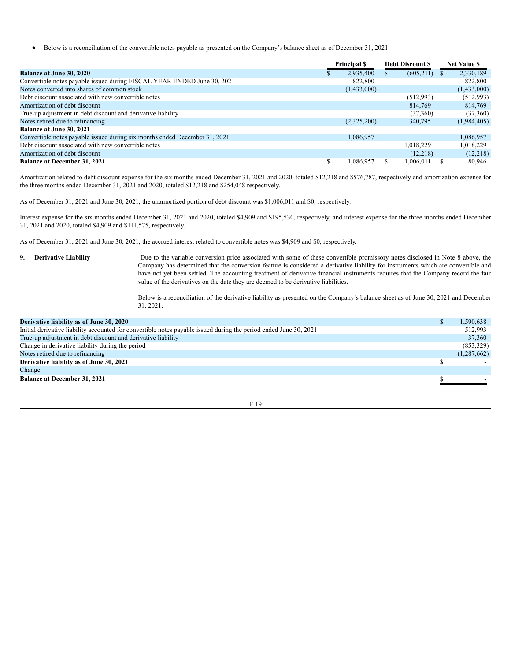● Below is a reconciliation of the convertible notes payable as presented on the Company's balance sheet as of December 31, 2021:

|                                                                            | <b>Principal S</b> | <b>Debt Discount S</b> | <b>Net Value \$</b> |
|----------------------------------------------------------------------------|--------------------|------------------------|---------------------|
| <b>Balance at June 30, 2020</b>                                            | 2,935,400          | (605, 211)             | 2,330,189           |
| Convertible notes payable issued during FISCAL YEAR ENDED June 30, 2021    | 822,800            |                        | 822,800             |
| Notes converted into shares of common stock                                | (1,433,000)        |                        | (1,433,000)         |
| Debt discount associated with new convertible notes                        |                    | (512,993)              | (512,993)           |
| Amortization of debt discount                                              |                    | 814,769                | 814,769             |
| True-up adjustment in debt discount and derivative liability               |                    | (37,360)               | (37,360)            |
| Notes retired due to refinancing                                           | (2,325,200)        | 340,795                | (1,984,405)         |
| <b>Balance at June 30, 2021</b>                                            |                    |                        |                     |
| Convertible notes payable issued during six months ended December 31, 2021 | 1,086,957          |                        | 1,086,957           |
| Debt discount associated with new convertible notes                        |                    | 1.018.229              | 1.018.229           |
| Amortization of debt discount                                              |                    | (12,218)               | (12,218)            |
| <b>Balance at December 31, 2021</b>                                        | 1.086.957          | 1,006,011              | 80,946              |

Amortization related to debt discount expense for the six months ended December 31, 2021 and 2020, totaled \$12,218 and \$576,787, respectively and amortization expense for the three months ended December 31, 2021 and 2020, totaled \$12,218 and \$254,048 respectively.

As of December 31, 2021 and June 30, 2021, the unamortized portion of debt discount was \$1,006,011 and \$0, respectively.

Interest expense for the six months ended December 31, 2021 and 2020, totaled \$4,909 and \$195,530, respectively, and interest expense for the three months ended December 31, 2021 and 2020, totaled \$4,909 and \$111,575, respectively.

As of December 31, 2021 and June 30, 2021, the accrued interest related to convertible notes was \$4,909 and \$0, respectively.

**9. Derivative Liability** Due to the variable conversion price associated with some of these convertible promissory notes disclosed in Note 8 above, the Company has determined that the conversion feature is considered a derivative liability for instruments which are convertible and have not yet been settled. The accounting treatment of derivative financial instruments requires that the Company record the fair value of the derivatives on the date they are deemed to be derivative liabilities.

> Below is a reconciliation of the derivative liability as presented on the Company's balance sheet as of June 30, 2021 and December 31, 2021:

| Derivative liability as of June 30, 2020                                                                          | 1,590,638     |
|-------------------------------------------------------------------------------------------------------------------|---------------|
| Initial derivative liability accounted for convertible notes payable issued during the period ended June 30, 2021 | 512.993       |
| True-up adjustment in debt discount and derivative liability                                                      | 37,360        |
| Change in derivative liability during the period                                                                  | (853,329)     |
| Notes retired due to refinancing                                                                                  | (1, 287, 662) |
| Derivative liability as of June 30, 2021                                                                          |               |
| Change                                                                                                            |               |
| <b>Balance at December 31, 2021</b>                                                                               |               |
|                                                                                                                   |               |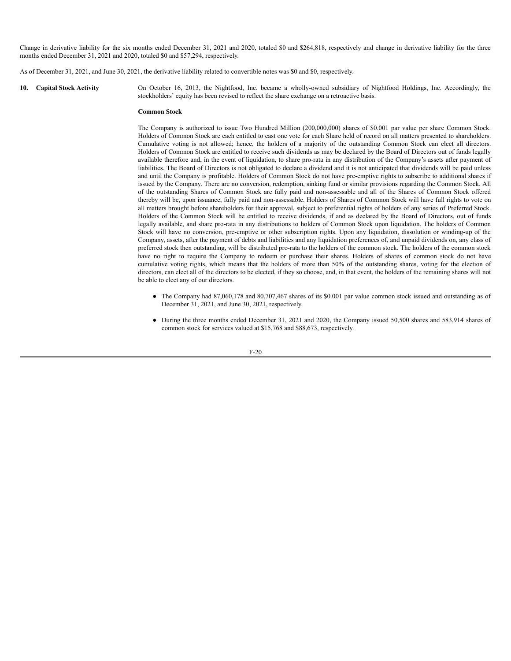Change in derivative liability for the six months ended December 31, 2021 and 2020, totaled \$0 and \$264,818, respectively and change in derivative liability for the three months ended December 31, 2021 and 2020, totaled \$0 and \$57,294, respectively.

As of December 31, 2021, and June 30, 2021, the derivative liability related to convertible notes was \$0 and \$0, respectively.

**10. Capital Stock Activity** On October 16, 2013, the Nightfood, Inc. became a wholly-owned subsidiary of Nightfood Holdings, Inc. Accordingly, the stockholders' equity has been revised to reflect the share exchange on a retroactive basis.

#### **Common Stock**

The Company is authorized to issue Two Hundred Million (200,000,000) shares of \$0.001 par value per share Common Stock. Holders of Common Stock are each entitled to cast one vote for each Share held of record on all matters presented to shareholders. Cumulative voting is not allowed; hence, the holders of a majority of the outstanding Common Stock can elect all directors. Holders of Common Stock are entitled to receive such dividends as may be declared by the Board of Directors out of funds legally available therefore and, in the event of liquidation, to share pro-rata in any distribution of the Company's assets after payment of liabilities. The Board of Directors is not obligated to declare a dividend and it is not anticipated that dividends will be paid unless and until the Company is profitable. Holders of Common Stock do not have pre-emptive rights to subscribe to additional shares if issued by the Company. There are no conversion, redemption, sinking fund or similar provisions regarding the Common Stock. All of the outstanding Shares of Common Stock are fully paid and non-assessable and all of the Shares of Common Stock offered thereby will be, upon issuance, fully paid and non-assessable. Holders of Shares of Common Stock will have full rights to vote on all matters brought before shareholders for their approval, subject to preferential rights of holders of any series of Preferred Stock. Holders of the Common Stock will be entitled to receive dividends, if and as declared by the Board of Directors, out of funds legally available, and share pro-rata in any distributions to holders of Common Stock upon liquidation. The holders of Common Stock will have no conversion, pre-emptive or other subscription rights. Upon any liquidation, dissolution or winding-up of the Company, assets, after the payment of debts and liabilities and any liquidation preferences of, and unpaid dividends on, any class of preferred stock then outstanding, will be distributed pro-rata to the holders of the common stock. The holders of the common stock have no right to require the Company to redeem or purchase their shares. Holders of shares of common stock do not have cumulative voting rights, which means that the holders of more than 50% of the outstanding shares, voting for the election of directors, can elect all of the directors to be elected, if they so choose, and, in that event, the holders of the remaining shares will not be able to elect any of our directors.

- The Company had 87,060,178 and 80,707,467 shares of its \$0.001 par value common stock issued and outstanding as of December 31, 2021, and June 30, 2021, respectively.
- During the three months ended December 31, 2021 and 2020, the Company issued 50,500 shares and 583,914 shares of common stock for services valued at \$15,768 and \$88,673, respectively.

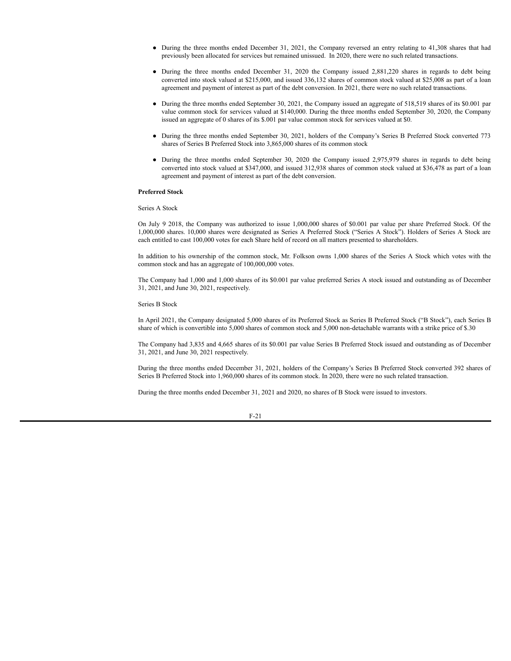- During the three months ended December 31, 2021, the Company reversed an entry relating to 41,308 shares that had previously been allocated for services but remained unissued. In 2020, there were no such related transactions.
- During the three months ended December 31, 2020 the Company issued 2,881,220 shares in regards to debt being converted into stock valued at \$215,000, and issued 336,132 shares of common stock valued at \$25,008 as part of a loan agreement and payment of interest as part of the debt conversion. In 2021, there were no such related transactions.
- During the three months ended September 30, 2021, the Company issued an aggregate of 518,519 shares of its \$0.001 par value common stock for services valued at \$140,000. During the three months ended September 30, 2020, the Company issued an aggregate of 0 shares of its \$.001 par value common stock for services valued at \$0.
- During the three months ended September 30, 2021, holders of the Company's Series B Preferred Stock converted 773 shares of Series B Preferred Stock into 3,865,000 shares of its common stock
- During the three months ended September 30, 2020 the Company issued 2,975,979 shares in regards to debt being converted into stock valued at \$347,000, and issued 312,938 shares of common stock valued at \$36,478 as part of a loan agreement and payment of interest as part of the debt conversion.

# **Preferred Stock**

Series A Stock

On July 9 2018, the Company was authorized to issue 1,000,000 shares of \$0.001 par value per share Preferred Stock. Of the 1,000,000 shares. 10,000 shares were designated as Series A Preferred Stock ("Series A Stock"). Holders of Series A Stock are each entitled to cast 100,000 votes for each Share held of record on all matters presented to shareholders.

In addition to his ownership of the common stock, Mr. Folkson owns 1,000 shares of the Series A Stock which votes with the common stock and has an aggregate of 100,000,000 votes.

The Company had 1,000 and 1,000 shares of its \$0.001 par value preferred Series A stock issued and outstanding as of December 31, 2021, and June 30, 2021, respectively.

# Series B Stock

In April 2021, the Company designated 5,000 shares of its Preferred Stock as Series B Preferred Stock ("B Stock"), each Series B share of which is convertible into 5,000 shares of common stock and 5,000 non-detachable warrants with a strike price of \$.30

The Company had 3,835 and 4,665 shares of its \$0.001 par value Series B Preferred Stock issued and outstanding as of December 31, 2021, and June 30, 2021 respectively.

During the three months ended December 31, 2021, holders of the Company's Series B Preferred Stock converted 392 shares of Series B Preferred Stock into 1,960,000 shares of its common stock. In 2020, there were no such related transaction.

During the three months ended December 31, 2021 and 2020, no shares of B Stock were issued to investors.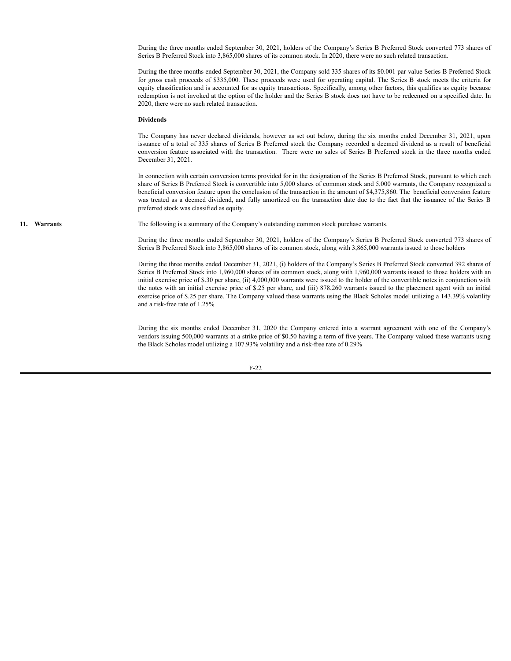During the three months ended September 30, 2021, holders of the Company's Series B Preferred Stock converted 773 shares of Series B Preferred Stock into 3,865,000 shares of its common stock. In 2020, there were no such related transaction.

During the three months ended September 30, 2021, the Company sold 335 shares of its \$0.001 par value Series B Preferred Stock for gross cash proceeds of \$335,000. These proceeds were used for operating capital. The Series B stock meets the criteria for equity classification and is accounted for as equity transactions. Specifically, among other factors, this qualifies as equity because redemption is not invoked at the option of the holder and the Series B stock does not have to be redeemed on a specified date. In 2020, there were no such related transaction.

#### **Dividends**

The Company has never declared dividends, however as set out below, during the six months ended December 31, 2021, upon issuance of a total of 335 shares of Series B Preferred stock the Company recorded a deemed dividend as a result of beneficial conversion feature associated with the transaction. There were no sales of Series B Preferred stock in the three months ended December 31, 2021.

In connection with certain conversion terms provided for in the designation of the Series B Preferred Stock, pursuant to which each share of Series B Preferred Stock is convertible into 5,000 shares of common stock and 5,000 warrants, the Company recognized a beneficial conversion feature upon the conclusion of the transaction in the amount of \$4,375,860. The beneficial conversion feature was treated as a deemed dividend, and fully amortized on the transaction date due to the fact that the issuance of the Series B preferred stock was classified as equity.

**11. Warrants** The following is a summary of the Company's outstanding common stock purchase warrants.

During the three months ended September 30, 2021, holders of the Company's Series B Preferred Stock converted 773 shares of Series B Preferred Stock into 3,865,000 shares of its common stock, along with 3,865,000 warrants issued to those holders

During the three months ended December 31, 2021, (i) holders of the Company's Series B Preferred Stock converted 392 shares of Series B Preferred Stock into 1,960,000 shares of its common stock, along with 1,960,000 warrants issued to those holders with an initial exercise price of \$.30 per share, (ii) 4,000,000 warrants were issued to the holder of the convertible notes in conjunction with the notes with an initial exercise price of \$.25 per share, and (iii) 878,260 warrants issued to the placement agent with an initial exercise price of \$.25 per share. The Company valued these warrants using the Black Scholes model utilizing a 143.39% volatility and a risk-free rate of 1.25%

During the six months ended December 31, 2020 the Company entered into a warrant agreement with one of the Company's vendors issuing 500,000 warrants at a strike price of \$0.50 having a term of five years. The Company valued these warrants using the Black Scholes model utilizing a 107.93% volatility and a risk-free rate of 0.29%

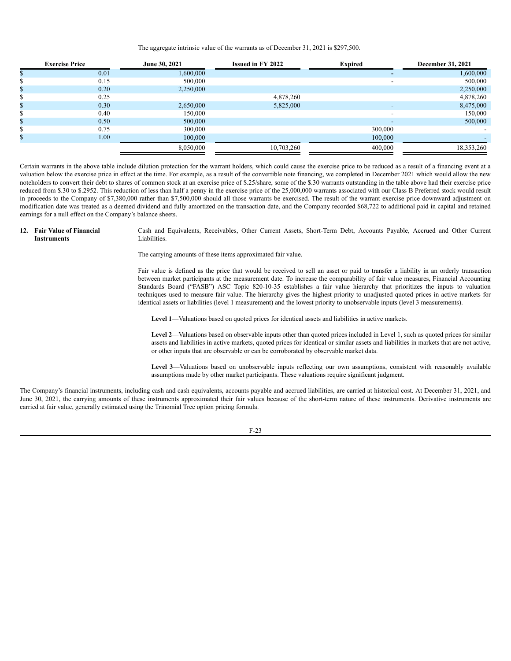#### The aggregate intrinsic value of the warrants as of December 31, 2021 is \$297,500.

| <b>Exercise Price</b> | June 30, 2021 | <b>Issued in FY 2022</b> | <b>Expired</b> | <b>December 31, 2021</b> |
|-----------------------|---------------|--------------------------|----------------|--------------------------|
| 0.01                  | 1,600,000     |                          |                | 1,600,000                |
| 0.15                  | 500,000       |                          | -              | 500,000                  |
| 0.20                  | 2,250,000     |                          |                | 2,250,000                |
| 0.25                  |               | 4,878,260                |                | 4,878,260                |
| 0.30                  | 2,650,000     | 5,825,000                |                | 8,475,000                |
| 0.40                  | 150,000       |                          |                | 150,000                  |
| 0.50                  | 500,000       |                          | -              | 500,000                  |
| 0.75                  | 300,000       |                          | 300,000        |                          |
| 1.00                  | 100,000       |                          | 100,000        |                          |
|                       | 8,050,000     | 10,703,260               | 400,000        | 18,353,260               |

Certain warrants in the above table include dilution protection for the warrant holders, which could cause the exercise price to be reduced as a result of a financing event at a valuation below the exercise price in effect at the time. For example, as a result of the convertible note financing, we completed in December 2021 which would allow the new noteholders to convert their debt to shares of common stock at an exercise price of \$.25/share, some of the \$.30 warrants outstanding in the table above had their exercise price reduced from \$.30 to \$.2952. This reduction of less than half a penny in the exercise price of the 25,000,000 warrants associated with our Class B Preferred stock would result in proceeds to the Company of \$7,380,000 rather than \$7,500,000 should all those warrants be exercised. The result of the warrant exercise price downward adjustment on modification date was treated as a deemed dividend and fully amortized on the transaction date, and the Company recorded \$68,722 to additional paid in capital and retained earnings for a null effect on the Company's balance sheets.

**12. Fair Value of Financial Instruments**

Cash and Equivalents, Receivables, Other Current Assets, Short-Term Debt, Accounts Payable, Accrued and Other Current Liabilities.

The carrying amounts of these items approximated fair value.

Fair value is defined as the price that would be received to sell an asset or paid to transfer a liability in an orderly transaction between market participants at the measurement date. To increase the comparability of fair value measures, Financial Accounting Standards Board ("FASB") ASC Topic 820-10-35 establishes a fair value hierarchy that prioritizes the inputs to valuation techniques used to measure fair value. The hierarchy gives the highest priority to unadjusted quoted prices in active markets for identical assets or liabilities (level 1 measurement) and the lowest priority to unobservable inputs (level 3 measurements).

**Level 1**—Valuations based on quoted prices for identical assets and liabilities in active markets.

**Level 2**—Valuations based on observable inputs other than quoted prices included in Level 1, such as quoted prices for similar assets and liabilities in active markets, quoted prices for identical or similar assets and liabilities in markets that are not active, or other inputs that are observable or can be corroborated by observable market data.

**Level 3**—Valuations based on unobservable inputs reflecting our own assumptions, consistent with reasonably available assumptions made by other market participants. These valuations require significant judgment.

The Company's financial instruments, including cash and cash equivalents, accounts payable and accrued liabilities, are carried at historical cost. At December 31, 2021, and June 30, 2021, the carrying amounts of these instruments approximated their fair values because of the short-term nature of these instruments. Derivative instruments are carried at fair value, generally estimated using the Trinomial Tree option pricing formula.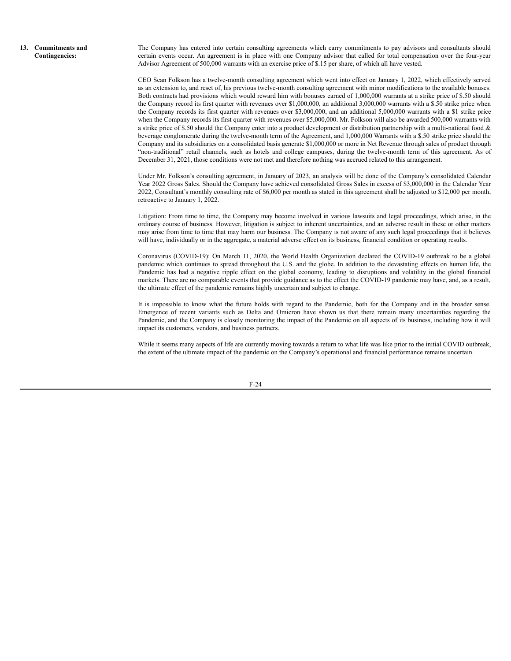**13. Commitments and Contingencies:**

The Company has entered into certain consulting agreements which carry commitments to pay advisors and consultants should certain events occur. An agreement is in place with one Company advisor that called for total compensation over the four-year Advisor Agreement of 500,000 warrants with an exercise price of \$.15 per share, of which all have vested.

CEO Sean Folkson has a twelve-month consulting agreement which went into effect on January 1, 2022, which effectively served as an extension to, and reset of, his previous twelve-month consulting agreement with minor modifications to the available bonuses. Both contracts had provisions which would reward him with bonuses earned of 1,000,000 warrants at a strike price of \$.50 should the Company record its first quarter with revenues over \$1,000,000, an additional 3,000,000 warrants with a \$.50 strike price when the Company records its first quarter with revenues over \$3,000,000, and an additional 5,000,000 warrants with a \$1 strike price when the Company records its first quarter with revenues over \$5,000,000. Mr. Folkson will also be awarded 500,000 warrants with a strike price of \$.50 should the Company enter into a product development or distribution partnership with a multi-national food & beverage conglomerate during the twelve-month term of the Agreement, and 1,000,000 Warrants with a \$.50 strike price should the Company and its subsidiaries on a consolidated basis generate \$1,000,000 or more in Net Revenue through sales of product through "non-traditional" retail channels, such as hotels and college campuses, during the twelve-month term of this agreement. As of December 31, 2021, those conditions were not met and therefore nothing was accrued related to this arrangement.

Under Mr. Folkson's consulting agreement, in January of 2023, an analysis will be done of the Company's consolidated Calendar Year 2022 Gross Sales. Should the Company have achieved consolidated Gross Sales in excess of \$3,000,000 in the Calendar Year 2022, Consultant's monthly consulting rate of \$6,000 per month as stated in this agreement shall be adjusted to \$12,000 per month, retroactive to January 1, 2022.

Litigation: From time to time, the Company may become involved in various lawsuits and legal proceedings, which arise, in the ordinary course of business. However, litigation is subject to inherent uncertainties, and an adverse result in these or other matters may arise from time to time that may harm our business. The Company is not aware of any such legal proceedings that it believes will have, individually or in the aggregate, a material adverse effect on its business, financial condition or operating results.

Coronavirus (COVID-19): On March 11, 2020, the World Health Organization declared the COVID-19 outbreak to be a global pandemic which continues to spread throughout the U.S. and the globe. In addition to the devastating effects on human life, the Pandemic has had a negative ripple effect on the global economy, leading to disruptions and volatility in the global financial markets. There are no comparable events that provide guidance as to the effect the COVID-19 pandemic may have, and, as a result, the ultimate effect of the pandemic remains highly uncertain and subject to change.

It is impossible to know what the future holds with regard to the Pandemic, both for the Company and in the broader sense. Emergence of recent variants such as Delta and Omicron have shown us that there remain many uncertainties regarding the Pandemic, and the Company is closely monitoring the impact of the Pandemic on all aspects of its business, including how it will impact its customers, vendors, and business partners.

While it seems many aspects of life are currently moving towards a return to what life was like prior to the initial COVID outbreak, the extent of the ultimate impact of the pandemic on the Company's operational and financial performance remains uncertain.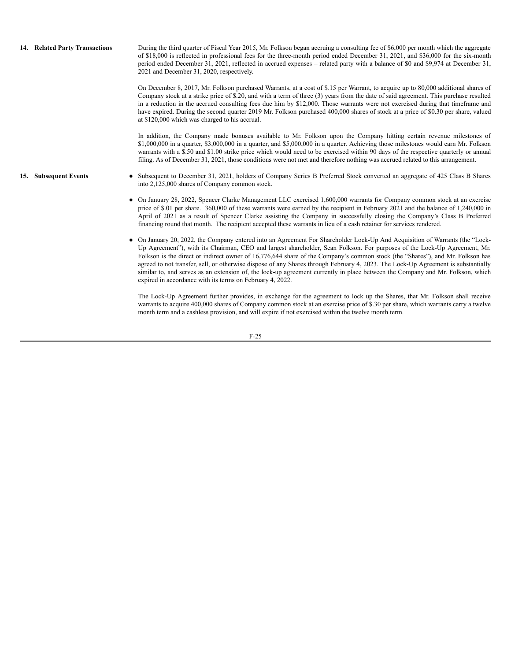| 14. Related Party Transactions | During the third quarter of Fiscal Year 2015, Mr. Folkson began accruing a consulting fee of \$6,000 per month which the aggregate<br>of \$18,000 is reflected in professional fees for the three-month period ended December 31, 2021, and \$36,000 for the six-month<br>period ended December 31, 2021, reflected in accrued expenses – related party with a balance of \$0 and \$9,974 at December 31,<br>2021 and December 31, 2020, respectively.                                                                                                                                                                                                                                                                        |
|--------------------------------|-------------------------------------------------------------------------------------------------------------------------------------------------------------------------------------------------------------------------------------------------------------------------------------------------------------------------------------------------------------------------------------------------------------------------------------------------------------------------------------------------------------------------------------------------------------------------------------------------------------------------------------------------------------------------------------------------------------------------------|
|                                | On December 8, 2017, Mr. Folkson purchased Warrants, at a cost of \$.15 per Warrant, to acquire up to 80,000 additional shares of<br>Company stock at a strike price of \$.20, and with a term of three (3) years from the date of said agreement. This purchase resulted<br>in a reduction in the accrued consulting fees due him by \$12,000. Those warrants were not exercised during that timeframe and<br>have expired. During the second quarter 2019 Mr. Folkson purchased 400,000 shares of stock at a price of \$0.30 per share, valued<br>at \$120,000 which was charged to his accrual.                                                                                                                            |
|                                | In addition, the Company made bonuses available to Mr. Folkson upon the Company hitting certain revenue milestones of<br>$$1,000,000$ in a quarter, $$3,000,000$ in a quarter, and $$5,000,000$ in a quarter. Achieving those milestones would earn Mr. Folkson<br>warrants with a \$.50 and \$1.00 strike price which would need to be exercised within 90 days of the respective quarterly or annual<br>filing. As of December 31, 2021, those conditions were not met and therefore nothing was accrued related to this arrangement.                                                                                                                                                                                       |
| 15. Subsequent Events          | • Subsequent to December 31, 2021, holders of Company Series B Preferred Stock converted an aggregate of 425 Class B Shares<br>into 2,125,000 shares of Company common stock.                                                                                                                                                                                                                                                                                                                                                                                                                                                                                                                                                 |
|                                | • On January 28, 2022, Spencer Clarke Management LLC exercised 1,600,000 warrants for Company common stock at an exercise<br>price of \$.01 per share. 360,000 of these warrants were earned by the recipient in February 2021 and the balance of 1,240,000 in<br>April of 2021 as a result of Spencer Clarke assisting the Company in successfully closing the Company's Class B Preferred<br>financing round that month. The recipient accepted these warrants in lieu of a cash retainer for services rendered.                                                                                                                                                                                                            |
|                                | • On January 20, 2022, the Company entered into an Agreement For Shareholder Lock-Up And Acquisition of Warrants (the "Lock-<br>Up Agreement"), with its Chairman, CEO and largest shareholder, Sean Folkson. For purposes of the Lock-Up Agreement, Mr.<br>Folkson is the direct or indirect owner of 16,776,644 share of the Company's common stock (the "Shares"), and Mr. Folkson has<br>agreed to not transfer, sell, or otherwise dispose of any Shares through February 4, 2023. The Lock-Up Agreement is substantially<br>similar to, and serves as an extension of, the lock-up agreement currently in place between the Company and Mr. Folkson, which<br>expired in accordance with its terms on February 4, 2022. |
|                                | The Lock-Up Agreement further provides, in exchange for the agreement to lock up the Shares, that Mr. Folkson shall receive<br>warrants to acquire 400,000 shares of Company common stock at an exercise price of \$.30 per share, which warrants carry a twelve<br>month term and a cashless provision, and will expire if not exercised within the twelve month term.                                                                                                                                                                                                                                                                                                                                                       |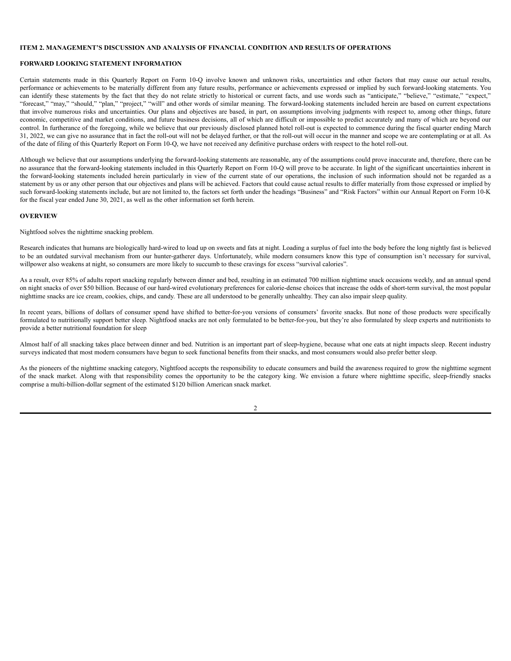# <span id="page-28-0"></span>**ITEM 2. MANAGEMENT'S DISCUSSION AND ANALYSIS OF FINANCIAL CONDITION AND RESULTS OF OPERATIONS**

#### **FORWARD LOOKING STATEMENT INFORMATION**

Certain statements made in this Quarterly Report on Form 10-Q involve known and unknown risks, uncertainties and other factors that may cause our actual results, performance or achievements to be materially different from any future results, performance or achievements expressed or implied by such forward-looking statements. You can identify these statements by the fact that they do not relate strictly to historical or current facts, and use words such as "anticipate," "believe," "estimate," "expect," "forecast," "may," "should," "plan," "project," "will" and other words of similar meaning. The forward-looking statements included herein are based on current expectations that involve numerous risks and uncertainties. Our plans and objectives are based, in part, on assumptions involving judgments with respect to, among other things, future economic, competitive and market conditions, and future business decisions, all of which are difficult or impossible to predict accurately and many of which are beyond our control. In furtherance of the foregoing, while we believe that our previously disclosed planned hotel roll-out is expected to commence during the fiscal quarter ending March 31, 2022, we can give no assurance that in fact the roll-out will not be delayed further, or that the roll-out will occur in the manner and scope we are contemplating or at all. As of the date of filing of this Quarterly Report on Form 10-Q, we have not received any definitive purchase orders with respect to the hotel roll-out.

Although we believe that our assumptions underlying the forward-looking statements are reasonable, any of the assumptions could prove inaccurate and, therefore, there can be no assurance that the forward-looking statements included in this Quarterly Report on Form 10-Q will prove to be accurate. In light of the significant uncertainties inherent in the forward-looking statements included herein particularly in view of the current state of our operations, the inclusion of such information should not be regarded as a statement by us or any other person that our objectives and plans will be achieved. Factors that could cause actual results to differ materially from those expressed or implied by such forward-looking statements include, but are not limited to, the factors set forth under the headings "Business" and "Risk Factors" within our Annual Report on Form 10-K for the fiscal year ended June 30, 2021, as well as the other information set forth herein.

# **OVERVIEW**

Nightfood solves the nighttime snacking problem.

Research indicates that humans are biologically hard-wired to load up on sweets and fats at night. Loading a surplus of fuel into the body before the long nightly fast is believed to be an outdated survival mechanism from our hunter-gatherer days. Unfortunately, while modern consumers know this type of consumption isn't necessary for survival, willpower also weakens at night, so consumers are more likely to succumb to these cravings for excess "survival calories".

As a result, over 85% of adults report snacking regularly between dinner and bed, resulting in an estimated 700 million nighttime snack occasions weekly, and an annual spend on night snacks of over \$50 billion. Because of our hard-wired evolutionary preferences for calorie-dense choices that increase the odds of short-term survival, the most popular nighttime snacks are ice cream, cookies, chips, and candy. These are all understood to be generally unhealthy. They can also impair sleep quality.

In recent years, billions of dollars of consumer spend have shifted to better-for-you versions of consumers' favorite snacks. But none of those products were specifically formulated to nutritionally support better sleep. Nightfood snacks are not only formulated to be better-for-you, but they're also formulated by sleep experts and nutritionists to provide a better nutritional foundation for sleep

Almost half of all snacking takes place between dinner and bed. Nutrition is an important part of sleep-hygiene, because what one eats at night impacts sleep. Recent industry surveys indicated that most modern consumers have begun to seek functional benefits from their snacks, and most consumers would also prefer better sleep.

As the pioneers of the nighttime snacking category, Nightfood accepts the responsibility to educate consumers and build the awareness required to grow the nighttime segment of the snack market. Along with that responsibility comes the opportunity to be the category king. We envision a future where nighttime specific, sleep-friendly snacks comprise a multi-billion-dollar segment of the estimated \$120 billion American snack market.

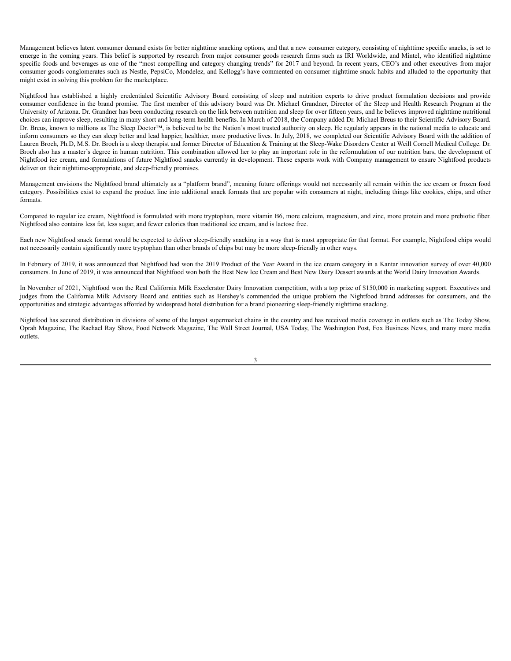Management believes latent consumer demand exists for better nighttime snacking options, and that a new consumer category, consisting of nighttime specific snacks, is set to emerge in the coming years. This belief is supported by research from major consumer goods research firms such as IRI Worldwide, and Mintel, who identified nighttime specific foods and beverages as one of the "most compelling and category changing trends" for 2017 and beyond. In recent years, CEO's and other executives from major consumer goods conglomerates such as Nestle, PepsiCo, Mondelez, and Kellogg's have commented on consumer nighttime snack habits and alluded to the opportunity that might exist in solving this problem for the marketplace.

Nightfood has established a highly credentialed Scientific Advisory Board consisting of sleep and nutrition experts to drive product formulation decisions and provide consumer confidence in the brand promise. The first member of this advisory board was Dr. Michael Grandner, Director of the Sleep and Health Research Program at the University of Arizona. Dr. Grandner has been conducting research on the link between nutrition and sleep for over fifteen years, and he believes improved nighttime nutritional choices can improve sleep, resulting in many short and long-term health benefits. In March of 2018, the Company added Dr. Michael Breus to their Scientific Advisory Board. Dr. Breus, known to millions as The Sleep Doctor™, is believed to be the Nation's most trusted authority on sleep. He regularly appears in the national media to educate and inform consumers so they can sleep better and lead happier, healthier, more productive lives. In July, 2018, we completed our Scientific Advisory Board with the addition of Lauren Broch, Ph.D, M.S. Dr. Broch is a sleep therapist and former Director of Education & Training at the Sleep-Wake Disorders Center at Weill Cornell Medical College. Dr. Broch also has a master's degree in human nutrition. This combination allowed her to play an important role in the reformulation of our nutrition bars, the development of Nightfood ice cream, and formulations of future Nightfood snacks currently in development. These experts work with Company management to ensure Nightfood products deliver on their nighttime-appropriate, and sleep-friendly promises.

Management envisions the Nightfood brand ultimately as a "platform brand", meaning future offerings would not necessarily all remain within the ice cream or frozen food category. Possibilities exist to expand the product line into additional snack formats that are popular with consumers at night, including things like cookies, chips, and other formats.

Compared to regular ice cream, Nightfood is formulated with more tryptophan, more vitamin B6, more calcium, magnesium, and zinc, more protein and more prebiotic fiber. Nightfood also contains less fat, less sugar, and fewer calories than traditional ice cream, and is lactose free.

Each new Nightfood snack format would be expected to deliver sleep-friendly snacking in a way that is most appropriate for that format. For example, Nightfood chips would not necessarily contain significantly more tryptophan than other brands of chips but may be more sleep-friendly in other ways.

In February of 2019, it was announced that Nightfood had won the 2019 Product of the Year Award in the ice cream category in a Kantar innovation survey of over 40,000 consumers. In June of 2019, it was announced that Nightfood won both the Best New Ice Cream and Best New Dairy Dessert awards at the World Dairy Innovation Awards.

In November of 2021, Nightfood won the Real California Milk Excelerator Dairy Innovation competition, with a top prize of \$150,000 in marketing support. Executives and judges from the California Milk Advisory Board and entities such as Hershey's commended the unique problem the Nightfood brand addresses for consumers, and the opportunities and strategic advantages afforded by widespread hotel distribution for a brand pioneering sleep-friendly nighttime snacking.

Nightfood has secured distribution in divisions of some of the largest supermarket chains in the country and has received media coverage in outlets such as The Today Show, Oprah Magazine, The Rachael Ray Show, Food Network Magazine, The Wall Street Journal, USA Today, The Washington Post, Fox Business News, and many more media outlets.

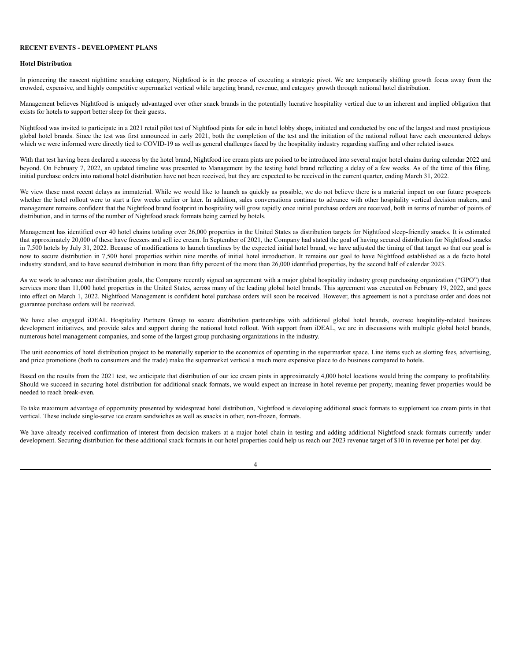# **RECENT EVENTS - DEVELOPMENT PLANS**

#### **Hotel Distribution**

In pioneering the nascent nighttime snacking category, Nightfood is in the process of executing a strategic pivot. We are temporarily shifting growth focus away from the crowded, expensive, and highly competitive supermarket vertical while targeting brand, revenue, and category growth through national hotel distribution.

Management believes Nightfood is uniquely advantaged over other snack brands in the potentially lucrative hospitality vertical due to an inherent and implied obligation that exists for hotels to support better sleep for their guests.

Nightfood was invited to participate in a 2021 retail pilot test of Nightfood pints for sale in hotel lobby shops, initiated and conducted by one of the largest and most prestigious global hotel brands. Since the test was first announced in early 2021, both the completion of the test and the initiation of the national rollout have each encountered delays which we were informed were directly tied to COVID-19 as well as general challenges faced by the hospitality industry regarding staffing and other related issues.

With that test having been declared a success by the hotel brand, Nightfood ice cream pints are poised to be introduced into several major hotel chains during calendar 2022 and beyond. On February 7, 2022, an updated timeline was presented to Management by the testing hotel brand reflecting a delay of a few weeks. As of the time of this filing, initial purchase orders into national hotel distribution have not been received, but they are expected to be received in the current quarter, ending March 31, 2022.

We view these most recent delays as immaterial. While we would like to launch as quickly as possible, we do not believe there is a material impact on our future prospects whether the hotel rollout were to start a few weeks earlier or later. In addition, sales conversations continue to advance with other hospitality vertical decision makers, and management remains confident that the Nightfood brand footprint in hospitality will grow rapidly once initial purchase orders are received, both in terms of number of points of distribution, and in terms of the number of Nightfood snack formats being carried by hotels.

Management has identified over 40 hotel chains totaling over 26,000 properties in the United States as distribution targets for Nightfood sleep-friendly snacks. It is estimated that approximately 20,000 of these have freezers and sell ice cream. In September of 2021, the Company had stated the goal of having secured distribution for Nightfood snacks in 7,500 hotels by July 31, 2022. Because of modifications to launch timelines by the expected initial hotel brand, we have adjusted the timing of that target so that our goal is now to secure distribution in 7,500 hotel properties within nine months of initial hotel introduction. It remains our goal to have Nightfood established as a de facto hotel industry standard, and to have secured distribution in more than fifty percent of the more than 26,000 identified properties, by the second half of calendar 2023.

As we work to advance our distribution goals, the Company recently signed an agreement with a major global hospitality industry group purchasing organization ("GPO") that services more than 11,000 hotel properties in the United States, across many of the leading global hotel brands. This agreement was executed on February 19, 2022, and goes into effect on March 1, 2022. Nightfood Management is confident hotel purchase orders will soon be received. However, this agreement is not a purchase order and does not guarantee purchase orders will be received.

We have also engaged iDEAL Hospitality Partners Group to secure distribution partnerships with additional global hotel brands, oversee hospitality-related business development initiatives, and provide sales and support during the national hotel rollout. With support from iDEAL, we are in discussions with multiple global hotel brands, numerous hotel management companies, and some of the largest group purchasing organizations in the industry.

The unit economics of hotel distribution project to be materially superior to the economics of operating in the supermarket space. Line items such as slotting fees, advertising, and price promotions (both to consumers and the trade) make the supermarket vertical a much more expensive place to do business compared to hotels.

Based on the results from the 2021 test, we anticipate that distribution of our ice cream pints in approximately 4,000 hotel locations would bring the company to profitability. Should we succeed in securing hotel distribution for additional snack formats, we would expect an increase in hotel revenue per property, meaning fewer properties would be needed to reach break-even.

To take maximum advantage of opportunity presented by widespread hotel distribution, Nightfood is developing additional snack formats to supplement ice cream pints in that vertical. These include single-serve ice cream sandwiches as well as snacks in other, non-frozen, formats.

We have already received confirmation of interest from decision makers at a major hotel chain in testing and adding additional Nightfood snack formats currently under development. Securing distribution for these additional snack formats in our hotel properties could help us reach our 2023 revenue target of \$10 in revenue per hotel per day.

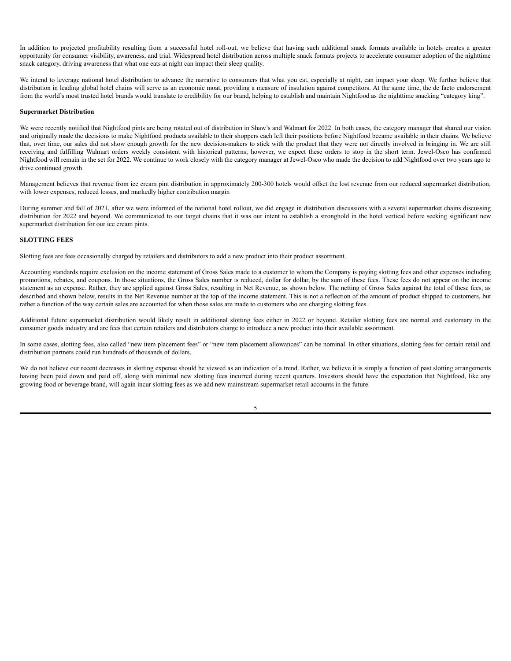In addition to projected profitability resulting from a successful hotel roll-out, we believe that having such additional snack formats available in hotels creates a greater opportunity for consumer visibility, awareness, and trial. Widespread hotel distribution across multiple snack formats projects to accelerate consumer adoption of the nighttime snack category, driving awareness that what one eats at night can impact their sleep quality.

We intend to leverage national hotel distribution to advance the narrative to consumers that what you eat, especially at night, can impact your sleep. We further believe that distribution in leading global hotel chains will serve as an economic moat, providing a measure of insulation against competitors. At the same time, the de facto endorsement from the world's most trusted hotel brands would translate to credibility for our brand, helping to establish and maintain Nightfood as the nighttime snacking "category king".

#### **Supermarket Distribution**

We were recently notified that Nightfood pints are being rotated out of distribution in Shaw's and Walmart for 2022. In both cases, the category manager that shared our vision and originally made the decisions to make Nightfood products available to their shoppers each left their positions before Nightfood became available in their chains. We believe that, over time, our sales did not show enough growth for the new decision-makers to stick with the product that they were not directly involved in bringing in. We are still receiving and fulfilling Walmart orders weekly consistent with historical patterns; however, we expect these orders to stop in the short term. Jewel-Osco has confirmed Nightfood will remain in the set for 2022. We continue to work closely with the category manager at Jewel-Osco who made the decision to add Nightfood over two years ago to drive continued growth.

Management believes that revenue from ice cream pint distribution in approximately 200-300 hotels would offset the lost revenue from our reduced supermarket distribution, with lower expenses, reduced losses, and markedly higher contribution margin

During summer and fall of 2021, after we were informed of the national hotel rollout, we did engage in distribution discussions with a several supermarket chains discussing distribution for 2022 and beyond. We communicated to our target chains that it was our intent to establish a stronghold in the hotel vertical before seeking significant new supermarket distribution for our ice cream pints.

## **SLOTTING FEES**

Slotting fees are fees occasionally charged by retailers and distributors to add a new product into their product assortment.

Accounting standards require exclusion on the income statement of Gross Sales made to a customer to whom the Company is paying slotting fees and other expenses including promotions, rebates, and coupons. In those situations, the Gross Sales number is reduced, dollar for dollar, by the sum of these fees. These fees do not appear on the income statement as an expense. Rather, they are applied against Gross Sales, resulting in Net Revenue, as shown below. The netting of Gross Sales against the total of these fees, as described and shown below, results in the Net Revenue number at the top of the income statement. This is not a reflection of the amount of product shipped to customers, but rather a function of the way certain sales are accounted for when those sales are made to customers who are charging slotting fees.

Additional future supermarket distribution would likely result in additional slotting fees either in 2022 or beyond. Retailer slotting fees are normal and customary in the consumer goods industry and are fees that certain retailers and distributors charge to introduce a new product into their available assortment.

In some cases, slotting fees, also called "new item placement fees" or "new item placement allowances" can be nominal. In other situations, slotting fees for certain retail and distribution partners could run hundreds of thousands of dollars.

We do not believe our recent decreases in slotting expense should be viewed as an indication of a trend. Rather, we believe it is simply a function of past slotting arrangements having been paid down and paid off, along with minimal new slotting fees incurred during recent quarters. Investors should have the expectation that Nightfood, like any growing food or beverage brand, will again incur slotting fees as we add new mainstream supermarket retail accounts in the future.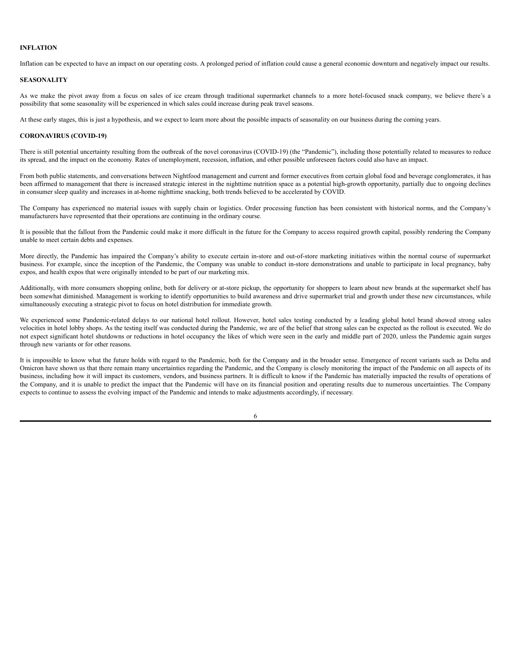# **INFLATION**

Inflation can be expected to have an impact on our operating costs. A prolonged period of inflation could cause a general economic downturn and negatively impact our results.

## **SEASONALITY**

As we make the pivot away from a focus on sales of ice cream through traditional supermarket channels to a more hotel-focused snack company, we believe there's a possibility that some seasonality will be experienced in which sales could increase during peak travel seasons.

At these early stages, this is just a hypothesis, and we expect to learn more about the possible impacts of seasonality on our business during the coming years.

#### **CORONAVIRUS (COVID-19)**

There is still potential uncertainty resulting from the outbreak of the novel coronavirus (COVID-19) (the "Pandemic"), including those potentially related to measures to reduce its spread, and the impact on the economy. Rates of unemployment, recession, inflation, and other possible unforeseen factors could also have an impact.

From both public statements, and conversations between Nightfood management and current and former executives from certain global food and beverage conglomerates, it has been affirmed to management that there is increased strategic interest in the nighttime nutrition space as a potential high-growth opportunity, partially due to ongoing declines in consumer sleep quality and increases in at-home nighttime snacking, both trends believed to be accelerated by COVID.

The Company has experienced no material issues with supply chain or logistics. Order processing function has been consistent with historical norms, and the Company's manufacturers have represented that their operations are continuing in the ordinary course.

It is possible that the fallout from the Pandemic could make it more difficult in the future for the Company to access required growth capital, possibly rendering the Company unable to meet certain debts and expenses.

More directly, the Pandemic has impaired the Company's ability to execute certain in-store and out-of-store marketing initiatives within the normal course of supermarket business. For example, since the inception of the Pandemic, the Company was unable to conduct in-store demonstrations and unable to participate in local pregnancy, baby expos, and health expos that were originally intended to be part of our marketing mix.

Additionally, with more consumers shopping online, both for delivery or at-store pickup, the opportunity for shoppers to learn about new brands at the supermarket shelf has been somewhat diminished. Management is working to identify opportunities to build awareness and drive supermarket trial and growth under these new circumstances, while simultaneously executing a strategic pivot to focus on hotel distribution for immediate growth.

We experienced some Pandemic-related delays to our national hotel rollout. However, hotel sales testing conducted by a leading global hotel brand showed strong sales velocities in hotel lobby shops. As the testing itself was conducted during the Pandemic, we are of the belief that strong sales can be expected as the rollout is executed. We do not expect significant hotel shutdowns or reductions in hotel occupancy the likes of which were seen in the early and middle part of 2020, unless the Pandemic again surges through new variants or for other reasons.

It is impossible to know what the future holds with regard to the Pandemic, both for the Company and in the broader sense. Emergence of recent variants such as Delta and Omicron have shown us that there remain many uncertainties regarding the Pandemic, and the Company is closely monitoring the impact of the Pandemic on all aspects of its business, including how it will impact its customers, vendors, and business partners. It is difficult to know if the Pandemic has materially impacted the results of operations of the Company, and it is unable to predict the impact that the Pandemic will have on its financial position and operating results due to numerous uncertainties. The Company expects to continue to assess the evolving impact of the Pandemic and intends to make adjustments accordingly, if necessary.

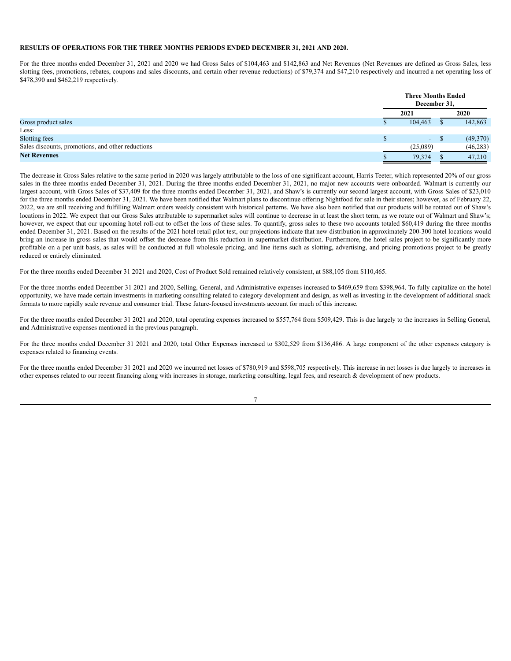## **RESULTS OF OPERATIONS FOR THE THREE MONTHS PERIODS ENDED DECEMBER 31, 2021 AND 2020.**

For the three months ended December 31, 2021 and 2020 we had Gross Sales of \$104,463 and \$142,863 and Net Revenues (Net Revenues are defined as Gross Sales, less slotting fees, promotions, rebates, coupons and sales discounts, and certain other revenue reductions) of \$79,374 and \$47,210 respectively and incurred a net operating loss of \$478,390 and \$462,219 respectively.

|                                                   | <b>Three Months Ended</b><br>December 31. |  |           |
|---------------------------------------------------|-------------------------------------------|--|-----------|
|                                                   | 2021                                      |  | 2020      |
| Gross product sales                               | 104,463                                   |  | 142,863   |
| Less:                                             |                                           |  |           |
| Slotting fees                                     | $-$ S                                     |  | (49,370)  |
| Sales discounts, promotions, and other reductions | (25,089)                                  |  | (46, 283) |
| <b>Net Revenues</b>                               | 79,374                                    |  | 47,210    |

The decrease in Gross Sales relative to the same period in 2020 was largely attributable to the loss of one significant account, Harris Teeter, which represented 20% of our gross sales in the three months ended December 31, 2021. During the three months ended December 31, 2021, no major new accounts were onboarded. Walmart is currently our largest account, with Gross Sales of \$37,409 for the three months ended December 31, 2021, and Shaw's is currently our second largest account, with Gross Sales of \$23,010 for the three months ended December 31, 2021. We have been notified that Walmart plans to discontinue offering Nightfood for sale in their stores; however, as of February 22, 2022, we are still receiving and fulfilling Walmart orders weekly consistent with historical patterns. We have also been notified that our products will be rotated out of Shaw's locations in 2022. We expect that our Gross Sales attributable to supermarket sales will continue to decrease in at least the short term, as we rotate out of Walmart and Shaw's; however, we expect that our upcoming hotel roll-out to offset the loss of these sales. To quantify, gross sales to these two accounts totaled \$60,419 during the three months ended December 31, 2021. Based on the results of the 2021 hotel retail pilot test, our projections indicate that new distribution in approximately 200-300 hotel locations would bring an increase in gross sales that would offset the decrease from this reduction in supermarket distribution. Furthermore, the hotel sales project to be significantly more profitable on a per unit basis, as sales will be conducted at full wholesale pricing, and line items such as slotting, advertising, and pricing promotions project to be greatly reduced or entirely eliminated.

For the three months ended December 31 2021 and 2020, Cost of Product Sold remained relatively consistent, at \$88,105 from \$110,465.

For the three months ended December 31 2021 and 2020, Selling, General, and Administrative expenses increased to \$469,659 from \$398,964. To fully capitalize on the hotel opportunity, we have made certain investments in marketing consulting related to category development and design, as well as investing in the development of additional snack formats to more rapidly scale revenue and consumer trial. These future-focused investments account for much of this increase.

For the three months ended December 31 2021 and 2020, total operating expenses increased to \$557,764 from \$509,429. This is due largely to the increases in Selling General, and Administrative expenses mentioned in the previous paragraph.

For the three months ended December 31 2021 and 2020, total Other Expenses increased to \$302,529 from \$136,486. A large component of the other expenses category is expenses related to financing events.

For the three months ended December 31 2021 and 2020 we incurred net losses of \$780,919 and \$598,705 respectively. This increase in net losses is due largely to increases in other expenses related to our recent financing along with increases in storage, marketing consulting, legal fees, and research & development of new products.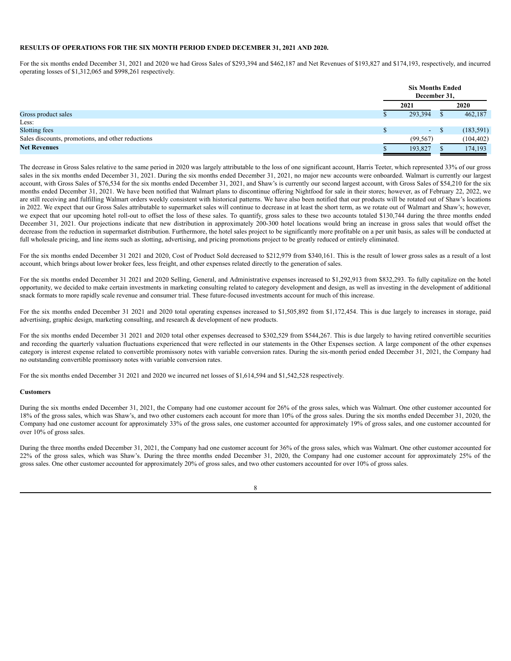# **RESULTS OF OPERATIONS FOR THE SIX MONTH PERIOD ENDED DECEMBER 31, 2021 AND 2020.**

For the six months ended December 31, 2021 and 2020 we had Gross Sales of \$293,394 and \$462,187 and Net Revenues of \$193,827 and \$174,193, respectively, and incurred operating losses of \$1,312,065 and \$998,261 respectively.

|                                                   | <b>Six Months Ended</b><br>December 31, |  |            |
|---------------------------------------------------|-----------------------------------------|--|------------|
|                                                   | 2021                                    |  | 2020       |
| Gross product sales                               | 293,394                                 |  | 462,187    |
| Less:                                             |                                         |  |            |
| Slotting fees                                     | $\Delta \phi$                           |  | (183, 591) |
| Sales discounts, promotions, and other reductions | (99, 567)                               |  | (104, 402) |
| <b>Net Revenues</b>                               | 193,827                                 |  | 174,193    |

The decrease in Gross Sales relative to the same period in 2020 was largely attributable to the loss of one significant account, Harris Teeter, which represented 33% of our gross sales in the six months ended December 31, 2021. During the six months ended December 31, 2021, no major new accounts were onboarded. Walmart is currently our largest account, with Gross Sales of \$76,534 for the six months ended December 31, 2021, and Shaw's is currently our second largest account, with Gross Sales of \$54,210 for the six months ended December 31, 2021. We have been notified that Walmart plans to discontinue offering Nightfood for sale in their stores; however, as of February 22, 2022, we are still receiving and fulfilling Walmart orders weekly consistent with historical patterns. We have also been notified that our products will be rotated out of Shaw's locations in 2022. We expect that our Gross Sales attributable to supermarket sales will continue to decrease in at least the short term, as we rotate out of Walmart and Shaw's; however, we expect that our upcoming hotel roll-out to offset the loss of these sales. To quantify, gross sales to these two accounts totaled \$130,744 during the three months ended December 31, 2021. Our projections indicate that new distribution in approximately 200-300 hotel locations would bring an increase in gross sales that would offset the decrease from the reduction in supermarket distribution. Furthermore, the hotel sales project to be significantly more profitable on a per unit basis, as sales will be conducted at full wholesale pricing, and line items such as slotting, advertising, and pricing promotions project to be greatly reduced or entirely eliminated.

For the six months ended December 31 2021 and 2020, Cost of Product Sold decreased to \$212,979 from \$340,161. This is the result of lower gross sales as a result of a lost account, which brings about lower broker fees, less freight, and other expenses related directly to the generation of sales.

For the six months ended December 31 2021 and 2020 Selling, General, and Administrative expenses increased to \$1,292,913 from \$832,293. To fully capitalize on the hotel opportunity, we decided to make certain investments in marketing consulting related to category development and design, as well as investing in the development of additional snack formats to more rapidly scale revenue and consumer trial. These future-focused investments account for much of this increase.

For the six months ended December 31 2021 and 2020 total operating expenses increased to \$1,505,892 from \$1,172,454. This is due largely to increases in storage, paid advertising, graphic design, marketing consulting, and research & development of new products.

For the six months ended December 31 2021 and 2020 total other expenses decreased to \$302,529 from \$544,267. This is due largely to having retired convertible securities and recording the quarterly valuation fluctuations experienced that were reflected in our statements in the Other Expenses section. A large component of the other expenses category is interest expense related to convertible promissory notes with variable conversion rates. During the six-month period ended December 31, 2021, the Company had no outstanding convertible promissory notes with variable conversion rates.

For the six months ended December 31 2021 and 2020 we incurred net losses of \$1,614,594 and \$1,542,528 respectively.

## **Customers**

During the six months ended December 31, 2021, the Company had one customer account for 26% of the gross sales, which was Walmart. One other customer accounted for 18% of the gross sales, which was Shaw's, and two other customers each account for more than 10% of the gross sales. During the six months ended December 31, 2020, the Company had one customer account for approximately 33% of the gross sales, one customer accounted for approximately 19% of gross sales, and one customer accounted for over 10% of gross sales.

During the three months ended December 31, 2021, the Company had one customer account for 36% of the gross sales, which was Walmart. One other customer accounted for 22% of the gross sales, which was Shaw's. During the three months ended December 31, 2020, the Company had one customer account for approximately 25% of the gross sales. One other customer accounted for approximately 20% of gross sales, and two other customers accounted for over 10% of gross sales.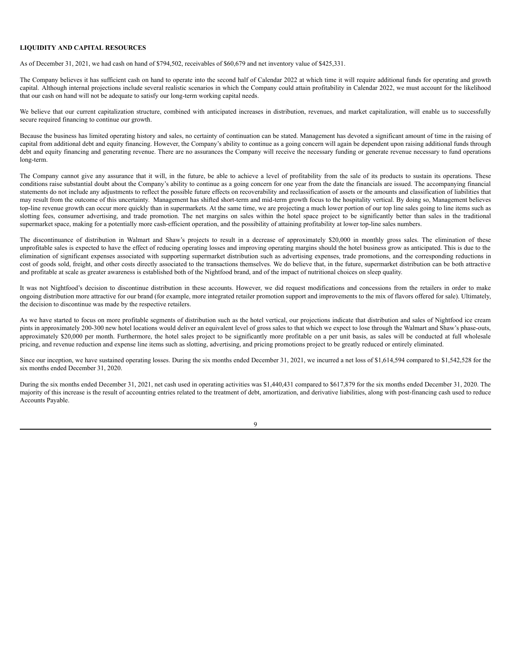# **LIQUIDITY AND CAPITAL RESOURCES**

As of December 31, 2021, we had cash on hand of \$794,502, receivables of \$60,679 and net inventory value of \$425,331.

The Company believes it has sufficient cash on hand to operate into the second half of Calendar 2022 at which time it will require additional funds for operating and growth capital. Although internal projections include several realistic scenarios in which the Company could attain profitability in Calendar 2022, we must account for the likelihood that our cash on hand will not be adequate to satisfy our long-term working capital needs.

We believe that our current capitalization structure, combined with anticipated increases in distribution, revenues, and market capitalization, will enable us to successfully secure required financing to continue our growth.

Because the business has limited operating history and sales, no certainty of continuation can be stated. Management has devoted a significant amount of time in the raising of capital from additional debt and equity financing. However, the Company's ability to continue as a going concern will again be dependent upon raising additional funds through debt and equity financing and generating revenue. There are no assurances the Company will receive the necessary funding or generate revenue necessary to fund operations long-term.

The Company cannot give any assurance that it will, in the future, be able to achieve a level of profitability from the sale of its products to sustain its operations. These conditions raise substantial doubt about the Company's ability to continue as a going concern for one year from the date the financials are issued. The accompanying financial statements do not include any adjustments to reflect the possible future effects on recoverability and reclassification of assets or the amounts and classification of liabilities that may result from the outcome of this uncertainty. Management has shifted short-term and mid-term growth focus to the hospitality vertical. By doing so, Management believes top-line revenue growth can occur more quickly than in supermarkets. At the same time, we are projecting a much lower portion of our top line sales going to line items such as slotting fees, consumer advertising, and trade promotion. The net margins on sales within the hotel space project to be significantly better than sales in the traditional supermarket space, making for a potentially more cash-efficient operation, and the possibility of attaining profitability at lower top-line sales numbers.

The discontinuance of distribution in Walmart and Shaw's projects to result in a decrease of approximately \$20,000 in monthly gross sales. The elimination of these unprofitable sales is expected to have the effect of reducing operating losses and improving operating margins should the hotel business grow as anticipated. This is due to the elimination of significant expenses associated with supporting supermarket distribution such as advertising expenses, trade promotions, and the corresponding reductions in cost of goods sold, freight, and other costs directly associated to the transactions themselves. We do believe that, in the future, supermarket distribution can be both attractive and profitable at scale as greater awareness is established both of the Nightfood brand, and of the impact of nutritional choices on sleep quality.

It was not Nightfood's decision to discontinue distribution in these accounts. However, we did request modifications and concessions from the retailers in order to make ongoing distribution more attractive for our brand (for example, more integrated retailer promotion support and improvements to the mix of flavors offered for sale). Ultimately, the decision to discontinue was made by the respective retailers.

As we have started to focus on more profitable segments of distribution such as the hotel vertical, our projections indicate that distribution and sales of Nightfood ice cream pints in approximately 200-300 new hotel locations would deliver an equivalent level of gross sales to that which we expect to lose through the Walmart and Shaw's phase-outs, approximately \$20,000 per month. Furthermore, the hotel sales project to be significantly more profitable on a per unit basis, as sales will be conducted at full wholesale pricing, and revenue reduction and expense line items such as slotting, advertising, and pricing promotions project to be greatly reduced or entirely eliminated.

Since our inception, we have sustained operating losses. During the six months ended December 31, 2021, we incurred a net loss of \$1,614,594 compared to \$1,542,528 for the six months ended December 31, 2020.

During the six months ended December 31, 2021, net cash used in operating activities was \$1,440,431 compared to \$617,879 for the six months ended December 31, 2020. The majority of this increase is the result of accounting entries related to the treatment of debt, amortization, and derivative liabilities, along with post-financing cash used to reduce Accounts Payable.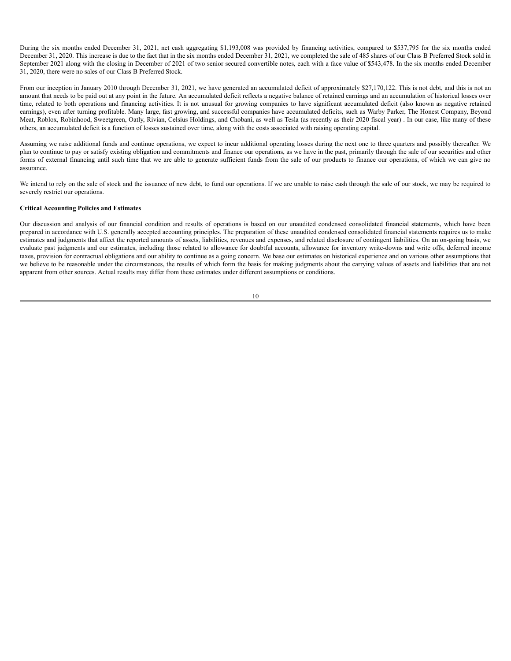During the six months ended December 31, 2021, net cash aggregating \$1,193,008 was provided by financing activities, compared to \$537,795 for the six months ended December 31, 2020. This increase is due to the fact that in the six months ended December 31, 2021, we completed the sale of 485 shares of our Class B Preferred Stock sold in September 2021 along with the closing in December of 2021 of two senior secured convertible notes, each with a face value of \$543,478. In the six months ended December 31, 2020, there were no sales of our Class B Preferred Stock.

From our inception in January 2010 through December 31, 2021, we have generated an accumulated deficit of approximately \$27,170,122. This is not debt, and this is not an amount that needs to be paid out at any point in the future. An accumulated deficit reflects a negative balance of retained earnings and an accumulation of historical losses over time, related to both operations and financing activities. It is not unusual for growing companies to have significant accumulated deficit (also known as negative retained earnings), even after turning profitable. Many large, fast growing, and successful companies have accumulated deficits, such as Warby Parker, The Honest Company, Beyond Meat, Roblox, Robinhood, Sweetgreen, Oatly, Rivian, Celsius Holdings, and Chobani, as well as Tesla (as recently as their 2020 fiscal year) . In our case, like many of these others, an accumulated deficit is a function of losses sustained over time, along with the costs associated with raising operating capital.

Assuming we raise additional funds and continue operations, we expect to incur additional operating losses during the next one to three quarters and possibly thereafter. We plan to continue to pay or satisfy existing obligation and commitments and finance our operations, as we have in the past, primarily through the sale of our securities and other forms of external financing until such time that we are able to generate sufficient funds from the sale of our products to finance our operations, of which we can give no assurance.

We intend to rely on the sale of stock and the issuance of new debt, to fund our operations. If we are unable to raise cash through the sale of our stock, we may be required to severely restrict our operations.

## **Critical Accounting Policies and Estimates**

Our discussion and analysis of our financial condition and results of operations is based on our unaudited condensed consolidated financial statements, which have been prepared in accordance with U.S. generally accepted accounting principles. The preparation of these unaudited condensed consolidated financial statements requires us to make estimates and judgments that affect the reported amounts of assets, liabilities, revenues and expenses, and related disclosure of contingent liabilities. On an on-going basis, we evaluate past judgments and our estimates, including those related to allowance for doubtful accounts, allowance for inventory write-downs and write offs, deferred income taxes, provision for contractual obligations and our ability to continue as a going concern. We base our estimates on historical experience and on various other assumptions that we believe to be reasonable under the circumstances, the results of which form the basis for making judgments about the carrying values of assets and liabilities that are not apparent from other sources. Actual results may differ from these estimates under different assumptions or conditions.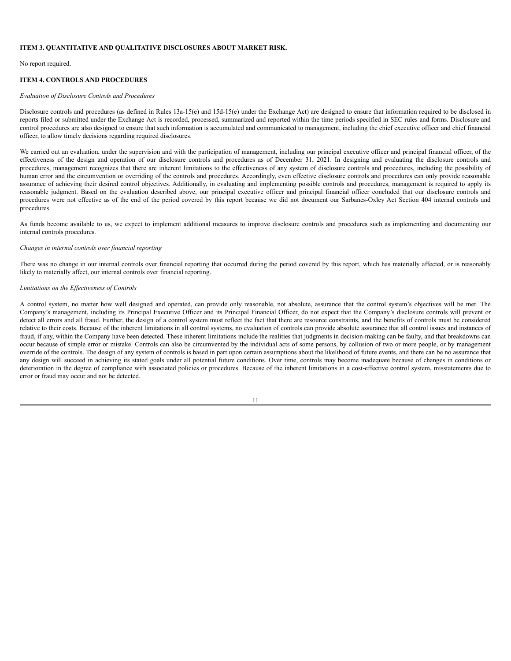## <span id="page-37-0"></span>**ITEM 3. QUANTITATIVE AND QUALITATIVE DISCLOSURES ABOUT MARKET RISK.**

No report required.

# <span id="page-37-1"></span>**ITEM 4. CONTROLS AND PROCEDURES**

### *Evaluation of Disclosure Controls and Procedures*

Disclosure controls and procedures (as defined in Rules 13a-15(e) and 15d-15(e) under the Exchange Act) are designed to ensure that information required to be disclosed in reports filed or submitted under the Exchange Act is recorded, processed, summarized and reported within the time periods specified in SEC rules and forms. Disclosure and control procedures are also designed to ensure that such information is accumulated and communicated to management, including the chief executive officer and chief financial officer, to allow timely decisions regarding required disclosures.

We carried out an evaluation, under the supervision and with the participation of management, including our principal executive officer and principal financial officer, of the effectiveness of the design and operation of our disclosure controls and procedures as of December 31, 2021. In designing and evaluating the disclosure controls and procedures, management recognizes that there are inherent limitations to the effectiveness of any system of disclosure controls and procedures, including the possibility of human error and the circumvention or overriding of the controls and procedures. Accordingly, even effective disclosure controls and procedures can only provide reasonable assurance of achieving their desired control objectives. Additionally, in evaluating and implementing possible controls and procedures, management is required to apply its reasonable judgment. Based on the evaluation described above, our principal executive officer and principal financial officer concluded that our disclosure controls and procedures were not effective as of the end of the period covered by this report because we did not document our Sarbanes-Oxley Act Section 404 internal controls and procedures.

As funds become available to us, we expect to implement additional measures to improve disclosure controls and procedures such as implementing and documenting our internal controls procedures.

#### *Changes in internal controls over financial reporting*

There was no change in our internal controls over financial reporting that occurred during the period covered by this report, which has materially affected, or is reasonably likely to materially affect, our internal controls over financial reporting.

### *Limitations on the Ef ectiveness of Controls*

A control system, no matter how well designed and operated, can provide only reasonable, not absolute, assurance that the control system's objectives will be met. The Company's management, including its Principal Executive Officer and its Principal Financial Officer, do not expect that the Company's disclosure controls will prevent or detect all errors and all fraud. Further, the design of a control system must reflect the fact that there are resource constraints, and the benefits of controls must be considered relative to their costs. Because of the inherent limitations in all control systems, no evaluation of controls can provide absolute assurance that all control issues and instances of fraud, if any, within the Company have been detected. These inherent limitations include the realities that judgments in decision-making can be faulty, and that breakdowns can occur because of simple error or mistake. Controls can also be circumvented by the individual acts of some persons, by collusion of two or more people, or by management override of the controls. The design of any system of controls is based in part upon certain assumptions about the likelihood of future events, and there can be no assurance that any design will succeed in achieving its stated goals under all potential future conditions. Over time, controls may become inadequate because of changes in conditions or deterioration in the degree of compliance with associated policies or procedures. Because of the inherent limitations in a cost-effective control system, misstatements due to error or fraud may occur and not be detected.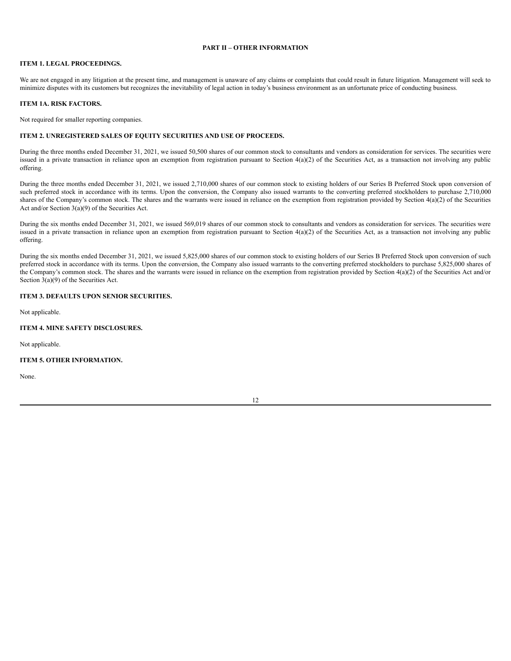# **PART II – OTHER INFORMATION**

# <span id="page-38-1"></span><span id="page-38-0"></span>**ITEM 1. LEGAL PROCEEDINGS.**

We are not engaged in any litigation at the present time, and management is unaware of any claims or complaints that could result in future litigation. Management will seek to minimize disputes with its customers but recognizes the inevitability of legal action in today's business environment as an unfortunate price of conducting business.

## <span id="page-38-2"></span>**ITEM 1A. RISK FACTORS.**

Not required for smaller reporting companies.

## <span id="page-38-3"></span>**ITEM 2. UNREGISTERED SALES OF EQUITY SECURITIES AND USE OF PROCEEDS.**

During the three months ended December 31, 2021, we issued 50,500 shares of our common stock to consultants and vendors as consideration for services. The securities were issued in a private transaction in reliance upon an exemption from registration pursuant to Section 4(a)(2) of the Securities Act, as a transaction not involving any public offering.

During the three months ended December 31, 2021, we issued 2,710,000 shares of our common stock to existing holders of our Series B Preferred Stock upon conversion of such preferred stock in accordance with its terms. Upon the conversion, the Company also issued warrants to the converting preferred stockholders to purchase 2,710,000 shares of the Company's common stock. The shares and the warrants were issued in reliance on the exemption from registration provided by Section 4(a)(2) of the Securities Act and/or Section 3(a)(9) of the Securities Act.

During the six months ended December 31, 2021, we issued 569,019 shares of our common stock to consultants and vendors as consideration for services. The securities were issued in a private transaction in reliance upon an exemption from registration pursuant to Section 4(a)(2) of the Securities Act, as a transaction not involving any public offering.

During the six months ended December 31, 2021, we issued 5,825,000 shares of our common stock to existing holders of our Series B Preferred Stock upon conversion of such preferred stock in accordance with its terms. Upon the conversion, the Company also issued warrants to the converting preferred stockholders to purchase 5,825,000 shares of the Company's common stock. The shares and the warrants were issued in reliance on the exemption from registration provided by Section 4(a)(2) of the Securities Act and/or Section 3(a)(9) of the Securities Act.

# <span id="page-38-4"></span>**ITEM 3. DEFAULTS UPON SENIOR SECURITIES.**

Not applicable.

## <span id="page-38-5"></span>**ITEM 4. MINE SAFETY DISCLOSURES.**

Not applicable.

# <span id="page-38-6"></span>**ITEM 5. OTHER INFORMATION.**

None.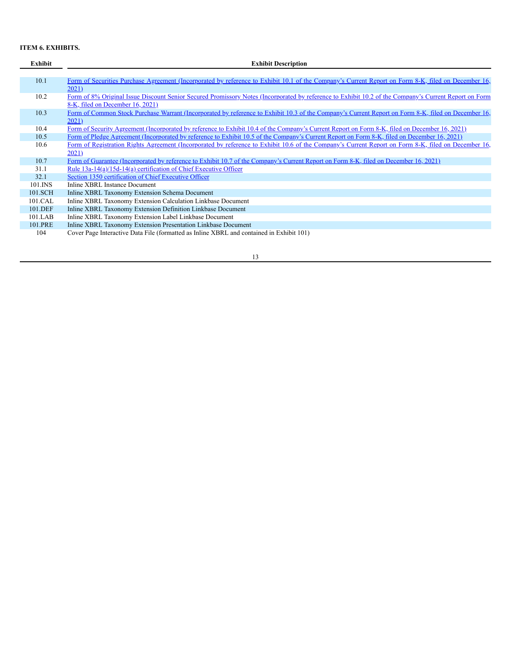# <span id="page-39-0"></span>**ITEM 6. EXHIBITS.**

| Exhibit | <b>Exhibit Description</b>                                                                                                                            |
|---------|-------------------------------------------------------------------------------------------------------------------------------------------------------|
|         |                                                                                                                                                       |
| 10.1    | Form of Securities Purchase Agreement (Incorporated by reference to Exhibit 10.1 of the Company's Current Report on Form 8-K, filed on December 16,   |
|         | 2021)                                                                                                                                                 |
| 10.2    | Form of 8% Original Issue Discount Senior Secured Promissory Notes (Incorporated by reference to Exhibit 10.2 of the Company's Current Report on Form |
|         | 8-K, filed on December 16, 2021)                                                                                                                      |
| 10.3    | Form of Common Stock Purchase Warrant (Incorporated by reference to Exhibit 10.3 of the Company's Current Report on Form 8-K, filed on December 16,   |
|         | 2021)                                                                                                                                                 |
| 10.4    | Form of Security Agreement (Incorporated by reference to Exhibit 10.4 of the Company's Current Report on Form 8-K, filed on December 16, 2021)        |
| 10.5    | Form of Pledge Agreement (Incorporated by reference to Exhibit 10.5 of the Company's Current Report on Form 8-K, filed on December 16, 2021)          |
| 10.6    | Form of Registration Rights Agreement (Incorporated by reference to Exhibit 10.6 of the Company's Current Report on Form 8-K, filed on December 16,   |
|         | 2021)                                                                                                                                                 |
| 10.7    | Form of Guarantee (Incorporated by reference to Exhibit 10.7 of the Company's Current Report on Form 8-K, filed on December 16, 2021)                 |
| 31.1    | <u>Rule 13a-14(a)/15d-14(a) certification of Chief Executive Officer</u>                                                                              |
| 32.1    | Section 1350 certification of Chief Executive Officer                                                                                                 |
| 101.INS | Inline XBRL Instance Document                                                                                                                         |
| 101.SCH | Inline XBRL Taxonomy Extension Schema Document                                                                                                        |
| 101.CAL | Inline XBRL Taxonomy Extension Calculation Linkbase Document                                                                                          |
| 101.DEF | Inline XBRL Taxonomy Extension Definition Linkbase Document                                                                                           |
| 101.LAB | Inline XBRL Taxonomy Extension Label Linkbase Document                                                                                                |
| 101.PRE | Inline XBRL Taxonomy Extension Presentation Linkbase Document                                                                                         |
| 104     | Cover Page Interactive Data File (formatted as Inline XBRL and contained in Exhibit 101)                                                              |
|         |                                                                                                                                                       |

13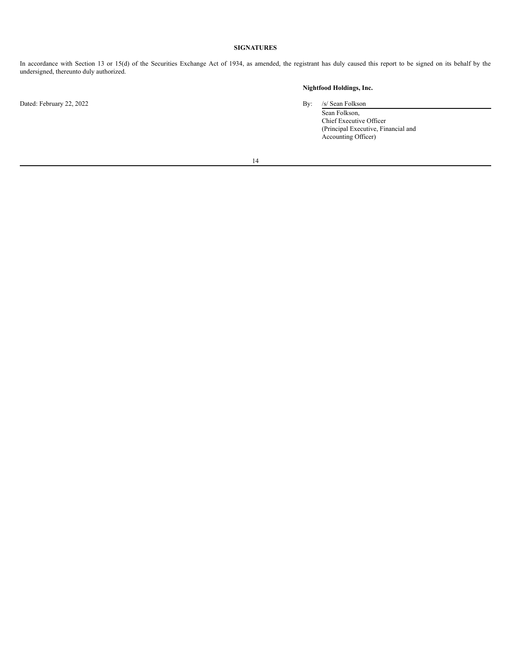# **SIGNATURES**

<span id="page-40-0"></span>In accordance with Section 13 or 15(d) of the Securities Exchange Act of 1934, as amended, the registrant has duly caused this report to be signed on its behalf by the undersigned, thereunto duly authorized.

Dated: February 22, 2022 By: /s/ Sean Folkson

# **Nightfood Holdings, Inc.**

Sean Folkson, Chief Executive Officer (Principal Executive, Financial and Accounting Officer)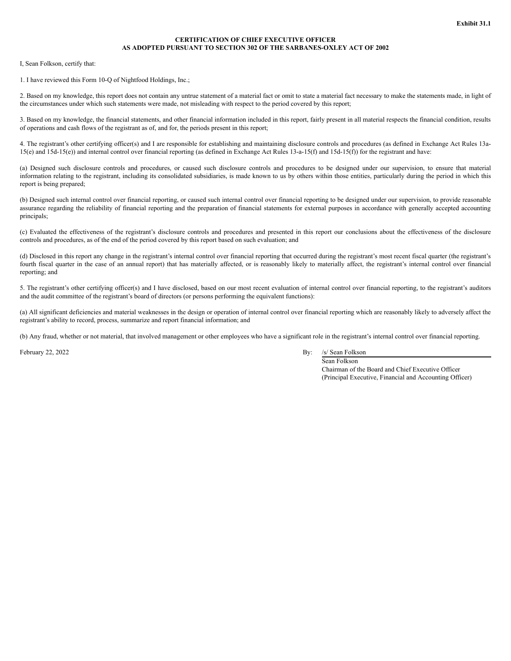# **CERTIFICATION OF CHIEF EXECUTIVE OFFICER AS ADOPTED PURSUANT TO SECTION 302 OF THE SARBANES-OXLEY ACT OF 2002**

I, Sean Folkson, certify that:

1. I have reviewed this Form 10-Q of Nightfood Holdings, Inc.;

2. Based on my knowledge, this report does not contain any untrue statement of a material fact or omit to state a material fact necessary to make the statements made, in light of the circumstances under which such statements were made, not misleading with respect to the period covered by this report;

3. Based on my knowledge, the financial statements, and other financial information included in this report, fairly present in all material respects the financial condition, results of operations and cash flows of the registrant as of, and for, the periods present in this report;

4. The registrant's other certifying officer(s) and I are responsible for establishing and maintaining disclosure controls and procedures (as defined in Exchange Act Rules 13a-15(e) and 15d-15(e)) and internal control over financial reporting (as defined in Exchange Act Rules 13-a-15(f) and 15d-15(f)) for the registrant and have:

(a) Designed such disclosure controls and procedures, or caused such disclosure controls and procedures to be designed under our supervision, to ensure that material information relating to the registrant, including its consolidated subsidiaries, is made known to us by others within those entities, particularly during the period in which this report is being prepared;

(b) Designed such internal control over financial reporting, or caused such internal control over financial reporting to be designed under our supervision, to provide reasonable assurance regarding the reliability of financial reporting and the preparation of financial statements for external purposes in accordance with generally accepted accounting principals;

(c) Evaluated the effectiveness of the registrant's disclosure controls and procedures and presented in this report our conclusions about the effectiveness of the disclosure controls and procedures, as of the end of the period covered by this report based on such evaluation; and

(d) Disclosed in this report any change in the registrant's internal control over financial reporting that occurred during the registrant's most recent fiscal quarter (the registrant's fourth fiscal quarter in the case of an annual report) that has materially affected, or is reasonably likely to materially affect, the registrant's internal control over financial reporting; and

5. The registrant's other certifying officer(s) and I have disclosed, based on our most recent evaluation of internal control over financial reporting, to the registrant's auditors and the audit committee of the registrant's board of directors (or persons performing the equivalent functions):

(a) All significant deficiencies and material weaknesses in the design or operation of internal control over financial reporting which are reasonably likely to adversely affect the registrant's ability to record, process, summarize and report financial information; and

(b) Any fraud, whether or not material, that involved management or other employees who have a significant role in the registrant's internal control over financial reporting.

February 22, 2022 By: /s/ Sean Folkson

Sean Folkson Chairman of the Board and Chief Executive Officer (Principal Executive, Financial and Accounting Officer)